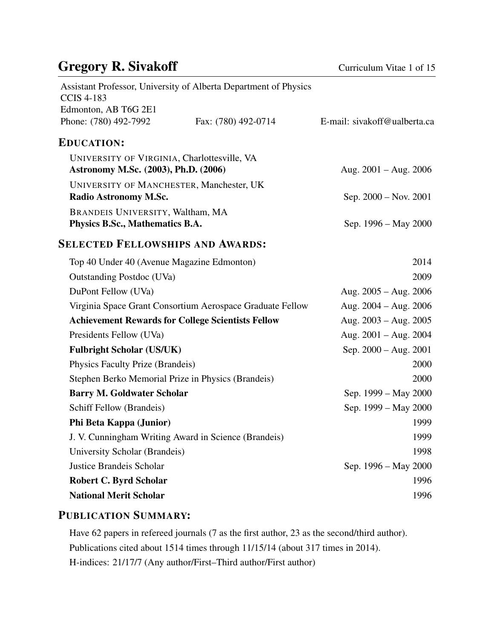# Gregory R. Sivakoff Curriculum Vitae 1 of 15

| <b>CCIS 4-183</b>                                                                   | Assistant Professor, University of Alberta Department of Physics |                              |
|-------------------------------------------------------------------------------------|------------------------------------------------------------------|------------------------------|
| Edmonton, AB T6G 2E1                                                                |                                                                  |                              |
| Phone: (780) 492-7992                                                               | Fax: (780) 492-0714                                              | E-mail: sivakoff@ualberta.ca |
| <b>EDUCATION:</b>                                                                   |                                                                  |                              |
| UNIVERSITY OF VIRGINIA, Charlottesville, VA<br>Astronomy M.Sc. (2003), Ph.D. (2006) |                                                                  | Aug. $2001 - Aug. 2006$      |
| UNIVERSITY OF MANCHESTER, Manchester, UK<br>Radio Astronomy M.Sc.                   |                                                                  | Sep. 2000 – Nov. 2001        |
| BRANDEIS UNIVERSITY, Waltham, MA<br>Physics B.Sc., Mathematics B.A.                 |                                                                  | Sep. 1996 – May 2000         |
| <b>SELECTED FELLOWSHIPS AND AWARDS:</b>                                             |                                                                  |                              |
| Top 40 Under 40 (Avenue Magazine Edmonton)                                          |                                                                  | 2014                         |
| <b>Outstanding Postdoc (UVa)</b>                                                    |                                                                  | 2009                         |
| DuPont Fellow (UVa)                                                                 |                                                                  | Aug. $2005 - Aug. 2006$      |
|                                                                                     | Virginia Space Grant Consortium Aerospace Graduate Fellow        | Aug. $2004 - Aug. 2006$      |
| <b>Achievement Rewards for College Scientists Fellow</b>                            |                                                                  | Aug. $2003 - Aug. 2005$      |
| Presidents Fellow (UVa)                                                             |                                                                  | Aug. $2001 - Aug. 2004$      |
| <b>Fulbright Scholar (US/UK)</b>                                                    |                                                                  | Sep. $2000 - Aug. 2001$      |
| Physics Faculty Prize (Brandeis)                                                    |                                                                  | 2000                         |
| Stephen Berko Memorial Prize in Physics (Brandeis)                                  |                                                                  | 2000                         |
| <b>Barry M. Goldwater Scholar</b>                                                   |                                                                  | Sep. 1999 – May 2000         |
| Schiff Fellow (Brandeis)                                                            |                                                                  | Sep. 1999 – May 2000         |
| Phi Beta Kappa (Junior)                                                             |                                                                  | 1999                         |
|                                                                                     | J. V. Cunningham Writing Award in Science (Brandeis)             | 1999                         |
| University Scholar (Brandeis)                                                       |                                                                  | 1998                         |
| Justice Brandeis Scholar                                                            |                                                                  | Sep. 1996 – May 2000         |
| <b>Robert C. Byrd Scholar</b>                                                       |                                                                  | 1996                         |
| <b>National Merit Scholar</b>                                                       |                                                                  | 1996                         |
|                                                                                     |                                                                  |                              |

#### PUBLICATION SUMMARY:

Have 62 papers in refereed journals (7 as the first author, 23 as the second/third author). Publications cited about 1514 times through 11/15/14 (about 317 times in 2014). H-indices: 21/17/7 (Any author/First–Third author/First author)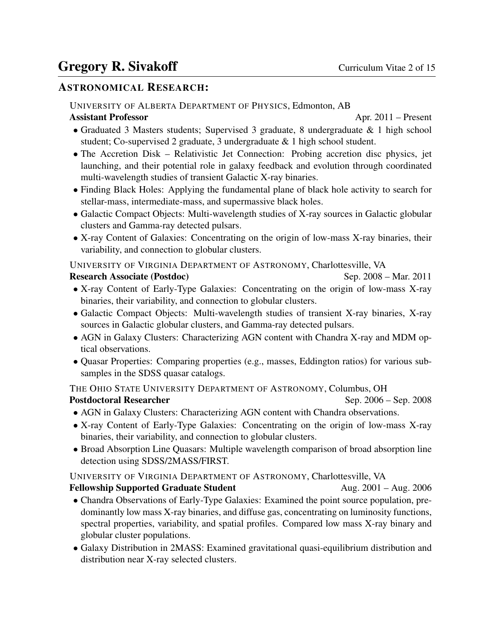#### ASTRONOMICAL RESEARCH:

UNIVERSITY OF ALBERTA DEPARTMENT OF PHYSICS, Edmonton, AB

Assistant Professor **April 2011** – Present

- Graduated 3 Masters students; Supervised 3 graduate, 8 undergraduate & 1 high school student; Co-supervised 2 graduate, 3 undergraduate & 1 high school student.
- The Accretion Disk Relativistic Jet Connection: Probing accretion disc physics, jet launching, and their potential role in galaxy feedback and evolution through coordinated multi-wavelength studies of transient Galactic X-ray binaries.
- Finding Black Holes: Applying the fundamental plane of black hole activity to search for stellar-mass, intermediate-mass, and supermassive black holes.
- Galactic Compact Objects: Multi-wavelength studies of X-ray sources in Galactic globular clusters and Gamma-ray detected pulsars.
- X-ray Content of Galaxies: Concentrating on the origin of low-mass X-ray binaries, their variability, and connection to globular clusters.

UNIVERSITY OF VIRGINIA DEPARTMENT OF ASTRONOMY, Charlottesville, VA

#### Research Associate (Postdoc) Sep. 2008 – Mar. 2011

- X-ray Content of Early-Type Galaxies: Concentrating on the origin of low-mass X-ray binaries, their variability, and connection to globular clusters.
- Galactic Compact Objects: Multi-wavelength studies of transient X-ray binaries, X-ray sources in Galactic globular clusters, and Gamma-ray detected pulsars.
- AGN in Galaxy Clusters: Characterizing AGN content with Chandra X-ray and MDM optical observations.
- Quasar Properties: Comparing properties (e.g., masses, Eddington ratios) for various subsamples in the SDSS quasar catalogs.

THE OHIO STATE UNIVERSITY DEPARTMENT OF ASTRONOMY, Columbus, OH Postdoctoral Researcher Sep. 2006 – Sep. 2008

- AGN in Galaxy Clusters: Characterizing AGN content with Chandra observations.
- X-ray Content of Early-Type Galaxies: Concentrating on the origin of low-mass X-ray binaries, their variability, and connection to globular clusters.
- Broad Absorption Line Quasars: Multiple wavelength comparison of broad absorption line detection using SDSS/2MASS/FIRST.

UNIVERSITY OF VIRGINIA DEPARTMENT OF ASTRONOMY, Charlottesville, VA

Fellowship Supported Graduate Student Aug. 2001 – Aug. 2006

- Chandra Observations of Early-Type Galaxies: Examined the point source population, predominantly low mass X-ray binaries, and diffuse gas, concentrating on luminosity functions, spectral properties, variability, and spatial profiles. Compared low mass X-ray binary and globular cluster populations.
- Galaxy Distribution in 2MASS: Examined gravitational quasi-equilibrium distribution and distribution near X-ray selected clusters.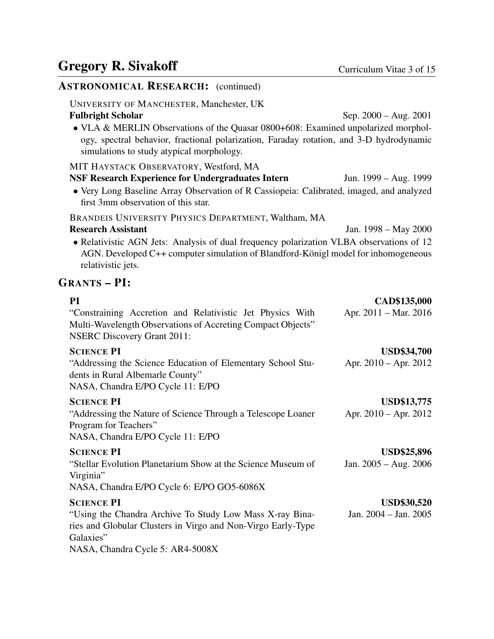Jan. 2004 – Jan. 2005

#### ASTRONOMICAL RESEARCH: (continued) UNIVERSITY OF MANCHESTER, Manchester, UK Fulbright Scholar Sep. 2000 – Aug. 2001 • VLA & MERLIN Observations of the Quasar 0800+608: Examined unpolarized morphology, spectral behavior, fractional polarization, Faraday rotation, and 3-D hydrodynamic simulations to study atypical morphology. MIT HAYSTACK OBSERVATORY, Westford, MA NSF Research Experience for Undergraduates Intern Jun. 1999 – Aug. 1999 • Very Long Baseline Array Observation of R Cassiopeia: Calibrated, imaged, and analyzed first 3mm observation of this star. BRANDEIS UNIVERSITY PHYSICS DEPARTMENT, Waltham, MA Research Assistant Jan. 1998 – May 2000 • Relativistic AGN Jets: Analysis of dual frequency polarization VLBA observations of 12 AGN. Developed C++ computer simulation of Blandford-Königl model for inhomogeneous relativistic jets. GRANTS – PI: PI CAD\$135,000 "Constraining Accretion and Relativistic Jet Physics With Multi-Wavelength Observations of Accreting Compact Objects" Apr. 2011 – Mar. 2016 NSERC Discovery Grant 2011: SCIENCE PI USD\$34,700 "Addressing the Science Education of Elementary School Students in Rural Albemarle County" Apr. 2010 – Apr. 2012 NASA, Chandra E/PO Cycle 11: E/PO SCIENCE PI USD\$13,775 "Addressing the Nature of Science Through a Telescope Loaner Program for Teachers" Apr. 2010 – Apr. 2012 NASA, Chandra E/PO Cycle 11: E/PO SCIENCE PI USD\$25,896 "Stellar Evolution Planetarium Show at the Science Museum of Virginia" Jan. 2005 – Aug. 2006 NASA, Chandra E/PO Cycle 6: E/PO GO5-6086X SCIENCE PI USD\$30,520

"Using the Chandra Archive To Study Low Mass X-ray Binaries and Globular Clusters in Virgo and Non-Virgo Early-Type Galaxies" NASA, Chandra Cycle 5: AR4-5008X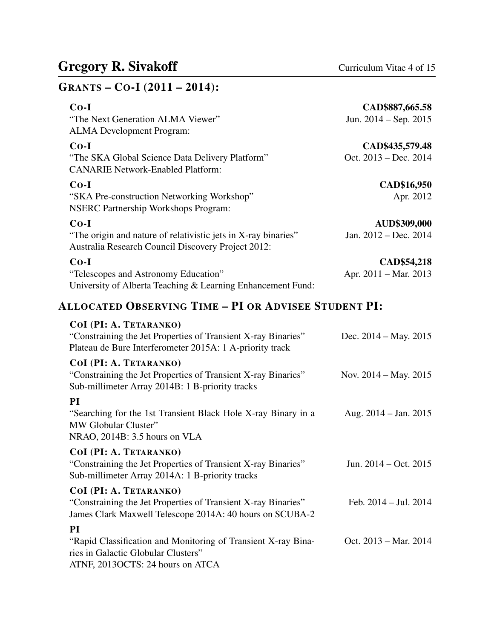| GRANTS - CO-I (2011 - 2014):                                                                                                               |                         |
|--------------------------------------------------------------------------------------------------------------------------------------------|-------------------------|
| $Co-I$                                                                                                                                     | CAD\$887,665.58         |
| "The Next Generation ALMA Viewer"<br><b>ALMA</b> Development Program:                                                                      | Jun. $2014 - Sep. 2015$ |
| $Co-I$                                                                                                                                     | CAD\$435,579.48         |
| "The SKA Global Science Data Delivery Platform"<br><b>CANARIE Network-Enabled Platform:</b>                                                | Oct. 2013 – Dec. 2014   |
| $Co-I$                                                                                                                                     | CAD\$16,950             |
| "SKA Pre-construction Networking Workshop"<br><b>NSERC Partnership Workshops Program:</b>                                                  | Apr. 2012               |
| $Co-I$                                                                                                                                     | <b>AUD\$309,000</b>     |
| "The origin and nature of relativistic jets in X-ray binaries"<br>Australia Research Council Discovery Project 2012:                       | Jan. 2012 - Dec. 2014   |
| $Co-I$                                                                                                                                     | CAD\$54,218             |
| "Telescopes and Astronomy Education"<br>University of Alberta Teaching & Learning Enhancement Fund:                                        | Apr. 2011 – Mar. 2013   |
| <b>ALLOCATED OBSERVING TIME - PI OR ADVISEE STUDENT PI:</b>                                                                                |                         |
| COI (PI: A. TETARANKO)                                                                                                                     |                         |
| "Constraining the Jet Properties of Transient X-ray Binaries"<br>Plateau de Bure Interferometer 2015A: 1 A-priority track                  | Dec. $2014 - May. 2015$ |
| COI (PI: A. TETARANKO)<br>"Constraining the Jet Properties of Transient X-ray Binaries"<br>Sub-millimeter Array 2014B: 1 B-priority tracks | Nov. $2014 - May. 2015$ |

# PI

| "Searching for the 1st Transient Black Hole X-ray Binary in a | Aug. $2014 - Jan. 2015$ |
|---------------------------------------------------------------|-------------------------|
| MW Globular Cluster"                                          |                         |
| NRAO, 2014B: 3.5 hours on VLA                                 |                         |
|                                                               |                         |

#### COI (PI: A. TETARANKO)

| "Constraining the Jet Properties of Transient X-ray Binaries" | Jun. $2014 - Oct. 2015$ |
|---------------------------------------------------------------|-------------------------|
| Sub-millimeter Array 2014A: 1 B-priority tracks               |                         |

#### COI (PI: A. TETARANKO) "Constraining the Jet Properties of Transient X-ray Binaries" Feb. 2014 – Jul. 2014

James Clark Maxwell Telescope 2014A: 40 hours on SCUBA-2 PI

"Rapid Classification and Monitoring of Transient X-ray Binaries in Galactic Globular Clusters" Oct. 2013 – Mar. 2014 ATNF, 2013OCTS: 24 hours on ATCA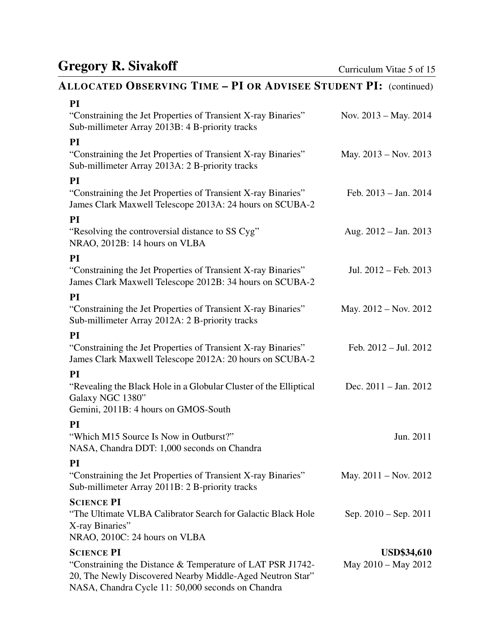# ALLOCATED OBSERVING TIME – PI OR ADVISEE STUDENT PI: (continued)

| Nov. $2013 - May. 2014$         |
|---------------------------------|
|                                 |
| May. 2013 – Nov. 2013           |
|                                 |
| Feb. $2013 - Jan. 2014$         |
|                                 |
| Aug. $2012 - Jan. 2013$         |
|                                 |
| Jul. 2012 - Feb. 2013           |
|                                 |
| May. $2012 - Nov. 2012$         |
|                                 |
| Feb. $2012 -$ Jul. $2012$       |
|                                 |
| Dec. $2011 - \text{Jan. } 2012$ |
|                                 |
|                                 |
| Jun. 2011                       |
|                                 |
| May. $2011 - Nov. 2012$         |
|                                 |
| Sep. $2010 -$ Sep. $2011$       |
|                                 |
|                                 |
| <b>USD\$34,610</b>              |
| May 2010 – May 2012             |
|                                 |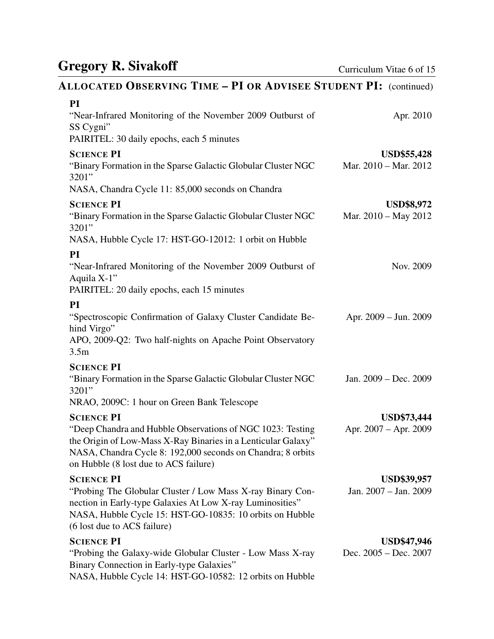# ALLOCATED OBSERVING TIME – PI OR ADVISEE STUDENT PI: (continued)

| PI<br>"Near-Infrared Monitoring of the November 2009 Outburst of<br>SS Cygni"<br>PAIRITEL: 30 daily epochs, each 5 minutes                                                                                                          | Apr. 2010                                   |
|-------------------------------------------------------------------------------------------------------------------------------------------------------------------------------------------------------------------------------------|---------------------------------------------|
| <b>SCIENCE PI</b><br>"Binary Formation in the Sparse Galactic Globular Cluster NGC<br>3201"                                                                                                                                         | <b>USD\$55,428</b><br>Mar. 2010 - Mar. 2012 |
| NASA, Chandra Cycle 11: 85,000 seconds on Chandra                                                                                                                                                                                   |                                             |
| <b>SCIENCE PI</b><br>"Binary Formation in the Sparse Galactic Globular Cluster NGC<br>3201"                                                                                                                                         | <b>USD\$8,972</b><br>Mar. $2010 - May 2012$ |
| NASA, Hubble Cycle 17: HST-GO-12012: 1 orbit on Hubble                                                                                                                                                                              |                                             |
| PI<br>"Near-Infrared Monitoring of the November 2009 Outburst of<br>Aquila X-1"<br>PAIRITEL: 20 daily epochs, each 15 minutes                                                                                                       | Nov. 2009                                   |
| PI                                                                                                                                                                                                                                  |                                             |
| "Spectroscopic Confirmation of Galaxy Cluster Candidate Be-<br>hind Virgo"<br>APO, 2009-Q2: Two half-nights on Apache Point Observatory<br>3.5 <sub>m</sub>                                                                         | Apr. 2009 - Jun. 2009                       |
| <b>SCIENCE PI</b>                                                                                                                                                                                                                   |                                             |
| "Binary Formation in the Sparse Galactic Globular Cluster NGC<br>3201"                                                                                                                                                              | Jan. 2009 – Dec. 2009                       |
| NRAO, 2009C: 1 hour on Green Bank Telescope                                                                                                                                                                                         |                                             |
| <b>SCIENCE PI</b>                                                                                                                                                                                                                   | <b>USD\$73,444</b>                          |
| "Deep Chandra and Hubble Observations of NGC 1023: Testing<br>the Origin of Low-Mass X-Ray Binaries in a Lenticular Galaxy"<br>NASA, Chandra Cycle 8: 192,000 seconds on Chandra; 8 orbits<br>on Hubble (8 lost due to ACS failure) | Apr. 2007 – Apr. 2009                       |
| <b>SCIENCE PI</b>                                                                                                                                                                                                                   | <b>USD\$39,957</b>                          |
| "Probing The Globular Cluster / Low Mass X-ray Binary Con-<br>nection in Early-type Galaxies At Low X-ray Luminosities"<br>NASA, Hubble Cycle 15: HST-GO-10835: 10 orbits on Hubble<br>(6 lost due to ACS failure)                  | Jan. 2007 - Jan. 2009                       |
| <b>SCIENCE PI</b>                                                                                                                                                                                                                   | <b>USD\$47,946</b>                          |
| "Probing the Galaxy-wide Globular Cluster - Low Mass X-ray<br>Binary Connection in Early-type Galaxies"<br>NASA, Hubble Cycle 14: HST-GO-10582: 12 orbits on Hubble                                                                 | Dec. 2005 - Dec. 2007                       |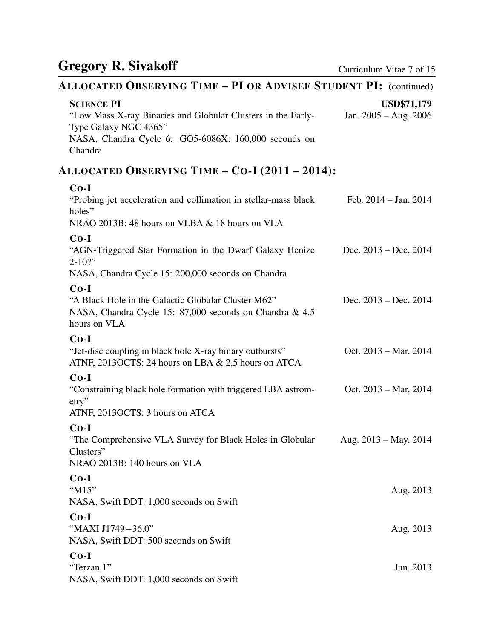# ALLOCATED OBSERVING TIME – PI OR ADVISEE STUDENT PI: (continued)

| <b>SCIENCE PI</b>                                                                                                                        | <b>USD\$71,179</b>      |
|------------------------------------------------------------------------------------------------------------------------------------------|-------------------------|
| "Low Mass X-ray Binaries and Globular Clusters in the Early-<br>Type Galaxy NGC 4365"                                                    | Jan. 2005 - Aug. 2006   |
| NASA, Chandra Cycle 6: GO5-6086X: 160,000 seconds on<br>Chandra                                                                          |                         |
| ALLOCATED OBSERVING TIME - CO-I (2011 - 2014):                                                                                           |                         |
| $Co-I$<br>"Probing jet acceleration and collimation in stellar-mass black<br>holes"<br>NRAO 2013B: 48 hours on VLBA & 18 hours on VLA    | Feb. $2014 - Jan. 2014$ |
| $Co-I$<br>"AGN-Triggered Star Formation in the Dwarf Galaxy Henize<br>$2 - 10$ ?"<br>NASA, Chandra Cycle 15: 200,000 seconds on Chandra  | Dec. $2013 - Dec. 2014$ |
| $Co-I$<br>"A Black Hole in the Galactic Globular Cluster M62"<br>NASA, Chandra Cycle 15: 87,000 seconds on Chandra & 4.5<br>hours on VLA | Dec. $2013 - Dec. 2014$ |
| $Co-I$<br>"Jet-disc coupling in black hole X-ray binary outbursts"<br>ATNF, 2013OCTS: 24 hours on LBA & 2.5 hours on ATCA                | Oct. 2013 - Mar. 2014   |
| $Co-I$<br>"Constraining black hole formation with triggered LBA astrom-<br>$\text{etry}$ "<br>ATNF, 2013OCTS: 3 hours on ATCA            | Oct. 2013 – Mar. 2014   |
| $Co-I$<br>"The Comprehensive VLA Survey for Black Holes in Globular<br>Clusters"<br>NRAO 2013B: 140 hours on VLA                         | Aug. $2013 - May. 2014$ |
| $Co-I$<br>"M15"<br>NASA, Swift DDT: 1,000 seconds on Swift                                                                               | Aug. 2013               |
| $Co-I$<br>"MAXI J1749-36.0"<br>NASA, Swift DDT: 500 seconds on Swift                                                                     | Aug. 2013               |
| $Co-I$<br>"Terzan 1"<br>NASA, Swift DDT: 1,000 seconds on Swift                                                                          | Jun. 2013               |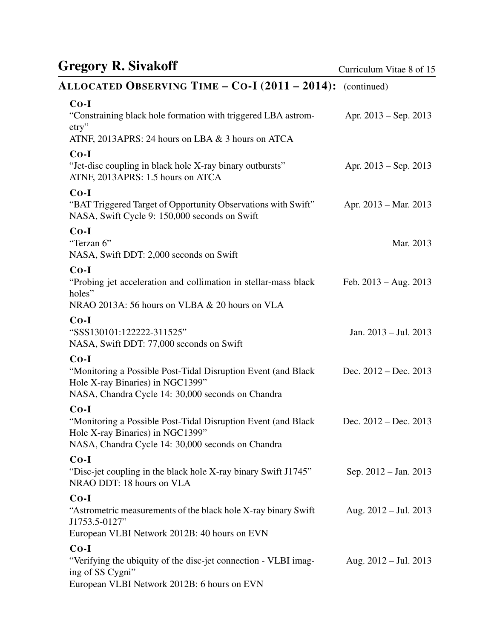# ALLOCATED OBSERVING TIME – CO-I (2011 – 2014): (continued)

| $Co-I$<br>"Constraining black hole formation with triggered LBA astrom-                                                                                          | Apr. $2013 - Sep. 2013$   |
|------------------------------------------------------------------------------------------------------------------------------------------------------------------|---------------------------|
| $\text{etry}$                                                                                                                                                    |                           |
| ATNF, 2013APRS: 24 hours on LBA & 3 hours on ATCA                                                                                                                |                           |
| $Co-I$<br>"Jet-disc coupling in black hole X-ray binary outbursts"<br>ATNF, 2013APRS: 1.5 hours on ATCA                                                          | Apr. $2013 -$ Sep. 2013   |
| $Co-I$<br>"BAT Triggered Target of Opportunity Observations with Swift"<br>NASA, Swift Cycle 9: 150,000 seconds on Swift                                         | Apr. 2013 – Mar. 2013     |
| $Co-I$<br>"Terzan 6"<br>NASA, Swift DDT: 2,000 seconds on Swift                                                                                                  | Mar. 2013                 |
| $Co-I$<br>"Probing jet acceleration and collimation in stellar-mass black<br>holes"<br>NRAO 2013A: 56 hours on VLBA & 20 hours on VLA                            | Feb. $2013 - Aug. 2013$   |
| $Co-I$<br>"SSS130101:122222-311525"<br>NASA, Swift DDT: 77,000 seconds on Swift                                                                                  | Jan. $2013 -$ Jul. $2013$ |
| $Co-I$<br>"Monitoring a Possible Post-Tidal Disruption Event (and Black<br>Hole X-ray Binaries) in NGC1399"<br>NASA, Chandra Cycle 14: 30,000 seconds on Chandra | Dec. $2012 - Dec. 2013$   |
| $Co-I$<br>"Monitoring a Possible Post-Tidal Disruption Event (and Black<br>Hole X-ray Binaries) in NGC1399"<br>NASA, Chandra Cycle 14: 30,000 seconds on Chandra | Dec. $2012 - Dec. 2013$   |
| $Co-I$<br>"Disc-jet coupling in the black hole X-ray binary Swift J1745"<br>NRAO DDT: 18 hours on VLA                                                            | Sep. 2012 – Jan. 2013     |
| $Co-I$<br>"Astrometric measurements of the black hole X-ray binary Swift<br>J1753.5-0127"                                                                        | Aug. $2012 -$ Jul. $2013$ |
| European VLBI Network 2012B: 40 hours on EVN                                                                                                                     |                           |
| $Co-I$<br>"Verifying the ubiquity of the disc-jet connection - VLBI imag-<br>ing of SS Cygni"<br>European VLBI Network 2012B: 6 hours on EVN                     | Aug. $2012 -$ Jul. $2013$ |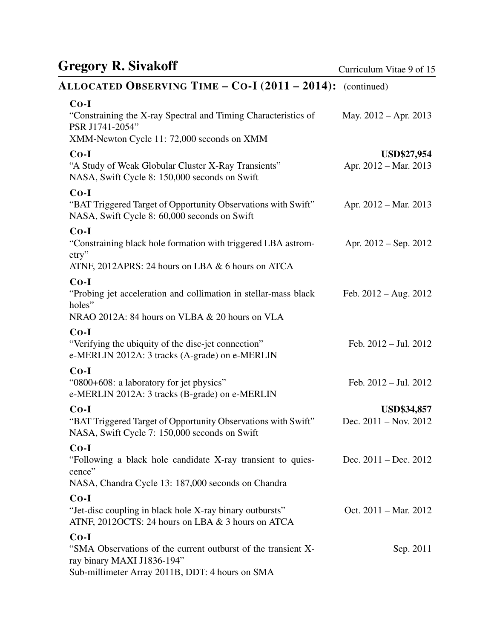# ALLOCATED OBSERVING TIME – CO-I (2011 – 2014): (continued)

| $Co-I$                                                                                                                                                   |                                               |
|----------------------------------------------------------------------------------------------------------------------------------------------------------|-----------------------------------------------|
| "Constraining the X-ray Spectral and Timing Characteristics of<br>PSR J1741-2054"                                                                        | May. $2012 - Apr. 2013$                       |
| XMM-Newton Cycle 11: 72,000 seconds on XMM                                                                                                               |                                               |
| $Co-I$<br>"A Study of Weak Globular Cluster X-Ray Transients"<br>NASA, Swift Cycle 8: 150,000 seconds on Swift                                           | <b>USD\$27,954</b><br>Apr. 2012 – Mar. 2013   |
| $Co-I$<br>"BAT Triggered Target of Opportunity Observations with Swift"<br>NASA, Swift Cycle 8: 60,000 seconds on Swift                                  | Apr. 2012 – Mar. 2013                         |
| $Co-I$<br>"Constraining black hole formation with triggered LBA astrom-<br>$\text{etry}$ "<br>ATNF, 2012APRS: 24 hours on LBA & 6 hours on ATCA          | Apr. 2012 – Sep. 2012                         |
| $Co-I$<br>"Probing jet acceleration and collimation in stellar-mass black<br>holes"<br>NRAO 2012A: 84 hours on VLBA & 20 hours on VLA                    | Feb. $2012 - Aug. 2012$                       |
| $Co-I$<br>"Verifying the ubiquity of the disc-jet connection"<br>e-MERLIN 2012A: 3 tracks (A-grade) on e-MERLIN                                          | Feb. $2012 -$ Jul. $2012$                     |
| $Co-I$<br>"0800+608: a laboratory for jet physics"<br>e-MERLIN 2012A: 3 tracks (B-grade) on e-MERLIN                                                     | Feb. $2012 -$ Jul. $2012$                     |
| $Co-I$<br>"BAT Triggered Target of Opportunity Observations with Swift"<br>NASA, Swift Cycle 7: 150,000 seconds on Swift                                 | <b>USD\$34,857</b><br>Dec. $2011 - Nov. 2012$ |
| $Co-I$<br>"Following a black hole candidate X-ray transient to quies-<br>cence"<br>NASA, Chandra Cycle 13: 187,000 seconds on Chandra                    | Dec. $2011 - Dec. 2012$                       |
| $Co-I$<br>"Jet-disc coupling in black hole X-ray binary outbursts"<br>ATNF, 2012OCTS: 24 hours on LBA & 3 hours on ATCA                                  | Oct. $2011 - \text{Mar. } 2012$               |
| $Co-I$<br>"SMA Observations of the current outburst of the transient X-<br>ray binary MAXI J1836-194"<br>Sub-millimeter Array 2011B, DDT: 4 hours on SMA | Sep. 2011                                     |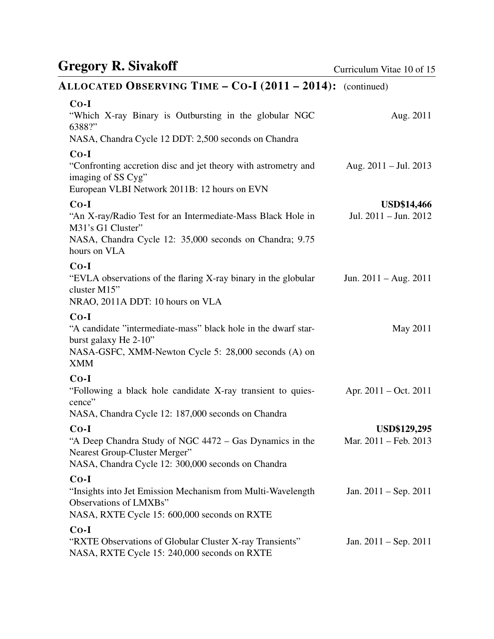# ALLOCATED OBSERVING TIME – CO-I (2011 – 2014): (continued)

| $Co-I$<br>"Which X-ray Binary is Outbursting in the globular NGC<br>6388?"<br>NASA, Chandra Cycle 12 DDT: 2,500 seconds on Chandra                                      | Aug. 2011                                       |
|-------------------------------------------------------------------------------------------------------------------------------------------------------------------------|-------------------------------------------------|
| $Co-I$<br>"Confronting accretion disc and jet theory with astrometry and<br>imaging of SS Cyg"<br>European VLBI Network 2011B: 12 hours on EVN                          | Aug. $2011 -$ Jul. $2013$                       |
| $Co-I$<br>"An X-ray/Radio Test for an Intermediate-Mass Black Hole in<br>M31's G1 Cluster"<br>NASA, Chandra Cycle 12: 35,000 seconds on Chandra; 9.75<br>hours on VLA   | <b>USD\$14,466</b><br>Jul. $2011 -$ Jun. $2012$ |
| $Co-I$<br>"EVLA observations of the flaring X-ray binary in the globular<br>cluster M15"<br>NRAO, 2011A DDT: 10 hours on VLA                                            | Jun. $2011 - Aug. 2011$                         |
| $Co-I$<br>"A candidate "intermediate-mass" black hole in the dwarf star-<br>burst galaxy He 2-10"<br>NASA-GSFC, XMM-Newton Cycle 5: 28,000 seconds (A) on<br><b>XMM</b> | May 2011                                        |
| $Co-I$<br>"Following a black hole candidate X-ray transient to quies-<br>cence"<br>NASA, Chandra Cycle 12: 187,000 seconds on Chandra                                   | Apr. $2011 - Oct. 2011$                         |
| $Co-I$<br>"A Deep Chandra Study of NGC 4472 – Gas Dynamics in the<br>Nearest Group-Cluster Merger"<br>NASA, Chandra Cycle 12: 300,000 seconds on Chandra                | <b>USD\$129,295</b><br>Mar. 2011 – Feb. 2013    |
| $Co-I$<br>"Insights into Jet Emission Mechanism from Multi-Wavelength<br>Observations of LMXBs"<br>NASA, RXTE Cycle 15: 600,000 seconds on RXTE                         | Jan. $2011 -$ Sep. $2011$                       |
| $Co-I$<br>"RXTE Observations of Globular Cluster X-ray Transients"<br>NASA, RXTE Cycle 15: 240,000 seconds on RXTE                                                      | Jan. $2011 - \text{Sep. } 2011$                 |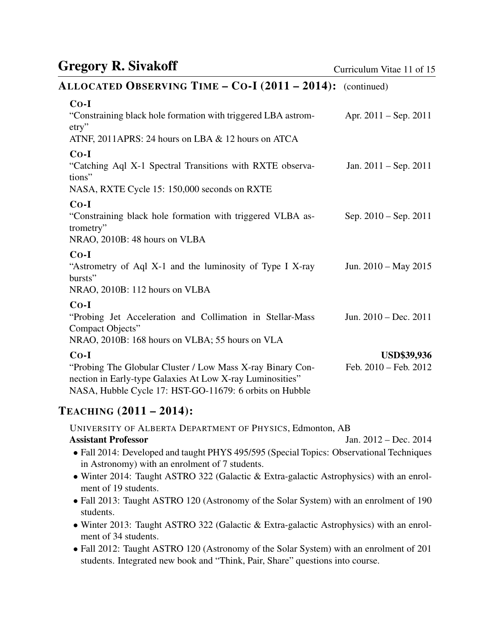#### ALLOCATED OBSERVING TIME – CO-I (2011 – 2014): (continued)

| $Co-I$                                                                                                                                                                             |                                 |
|------------------------------------------------------------------------------------------------------------------------------------------------------------------------------------|---------------------------------|
| "Constraining black hole formation with triggered LBA astrom-                                                                                                                      | Apr. $2011 -$ Sep. $2011$       |
| $\text{etry}$                                                                                                                                                                      |                                 |
| ATNF, 2011APRS: 24 hours on LBA $&$ 12 hours on ATCA                                                                                                                               |                                 |
| $Co-I$                                                                                                                                                                             |                                 |
| "Catching Aql X-1 Spectral Transitions with RXTE observa-<br>tions"                                                                                                                | Jan. $2011 - \text{Sep. } 2011$ |
| NASA, RXTE Cycle 15: 150,000 seconds on RXTE                                                                                                                                       |                                 |
| $Co-I$                                                                                                                                                                             |                                 |
| "Constraining black hole formation with triggered VLBA as-<br>trometry"                                                                                                            | Sep. $2010 -$ Sep. $2011$       |
| NRAO, 2010B: 48 hours on VLBA                                                                                                                                                      |                                 |
| $Co-I$                                                                                                                                                                             |                                 |
| "Astrometry of Aql X-1 and the luminosity of Type I X-ray<br>bursts"                                                                                                               | Jun. 2010 – May 2015            |
| NRAO, 2010B: 112 hours on VLBA                                                                                                                                                     |                                 |
| $Co-I$                                                                                                                                                                             |                                 |
| "Probing Jet Acceleration and Collimation in Stellar-Mass<br>Compact Objects"                                                                                                      | Jun. $2010 - Dec. 2011$         |
| NRAO, 2010B: 168 hours on VLBA; 55 hours on VLA                                                                                                                                    |                                 |
| $Co-I$                                                                                                                                                                             | <b>USD\$39,936</b>              |
| "Probing The Globular Cluster / Low Mass X-ray Binary Con-<br>nection in Early-type Galaxies At Low X-ray Luminosities"<br>NASA, Hubble Cycle 17: HST-GO-11679: 6 orbits on Hubble | Feb. 2010 - Feb. 2012           |
|                                                                                                                                                                                    |                                 |

#### TEACHING (2011 – 2014):

UNIVERSITY OF ALBERTA DEPARTMENT OF PHYSICS, Edmonton, AB Assistant Professor Jan. 2012 – Dec. 2014 • Fall 2014: Developed and taught PHYS 495/595 (Special Topics: Observational Techniques in Astronomy) with an enrolment of 7 students. • Winter 2014: Taught ASTRO 322 (Galactic & Extra-galactic Astrophysics) with an enrolment of 19 students. • Fall 2013: Taught ASTRO 120 (Astronomy of the Solar System) with an enrolment of 190 students.

- Winter 2013: Taught ASTRO 322 (Galactic & Extra-galactic Astrophysics) with an enrolment of 34 students.
- Fall 2012: Taught ASTRO 120 (Astronomy of the Solar System) with an enrolment of 201 students. Integrated new book and "Think, Pair, Share" questions into course.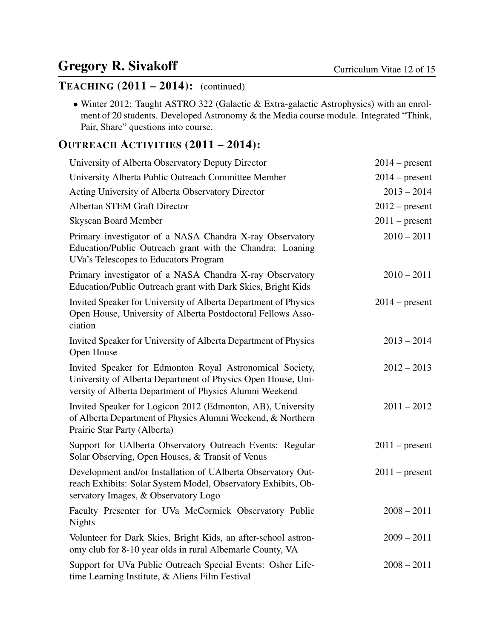#### TEACHING (2011 – 2014): (continued)

• Winter 2012: Taught ASTRO 322 (Galactic & Extra-galactic Astrophysics) with an enrolment of 20 students. Developed Astronomy & the Media course module. Integrated "Think, Pair, Share" questions into course.

#### OUTREACH ACTIVITIES (2011 – 2014):

| University of Alberta Observatory Deputy Director                                                                                                                                   | $2014$ – present |
|-------------------------------------------------------------------------------------------------------------------------------------------------------------------------------------|------------------|
| University Alberta Public Outreach Committee Member                                                                                                                                 | $2014$ – present |
| Acting University of Alberta Observatory Director                                                                                                                                   | $2013 - 2014$    |
| <b>Albertan STEM Graft Director</b>                                                                                                                                                 | $2012$ – present |
| <b>Skyscan Board Member</b>                                                                                                                                                         | $2011$ – present |
| Primary investigator of a NASA Chandra X-ray Observatory<br>Education/Public Outreach grant with the Chandra: Loaning<br>UVa's Telescopes to Educators Program                      | $2010 - 2011$    |
| Primary investigator of a NASA Chandra X-ray Observatory<br>Education/Public Outreach grant with Dark Skies, Bright Kids                                                            | $2010 - 2011$    |
| Invited Speaker for University of Alberta Department of Physics<br>Open House, University of Alberta Postdoctoral Fellows Asso-<br>ciation                                          | $2014$ – present |
| Invited Speaker for University of Alberta Department of Physics<br>Open House                                                                                                       | $2013 - 2014$    |
| Invited Speaker for Edmonton Royal Astronomical Society,<br>University of Alberta Department of Physics Open House, Uni-<br>versity of Alberta Department of Physics Alumni Weekend | $2012 - 2013$    |
| Invited Speaker for Logicon 2012 (Edmonton, AB), University<br>of Alberta Department of Physics Alumni Weekend, & Northern<br>Prairie Star Party (Alberta)                          | $2011 - 2012$    |
| Support for UAlberta Observatory Outreach Events: Regular<br>Solar Observing, Open Houses, & Transit of Venus                                                                       | $2011$ – present |
| Development and/or Installation of UAIberta Observatory Out-<br>reach Exhibits: Solar System Model, Observatory Exhibits, Ob-<br>servatory Images, & Observatory Logo               | $2011$ – present |
| Faculty Presenter for UVa McCormick Observatory Public<br><b>Nights</b>                                                                                                             | $2008 - 2011$    |
| Volunteer for Dark Skies, Bright Kids, an after-school astron-<br>omy club for 8-10 year olds in rural Albemarle County, VA                                                         | $2009 - 2011$    |
| Support for UVa Public Outreach Special Events: Osher Life-<br>time Learning Institute, & Aliens Film Festival                                                                      | $2008 - 2011$    |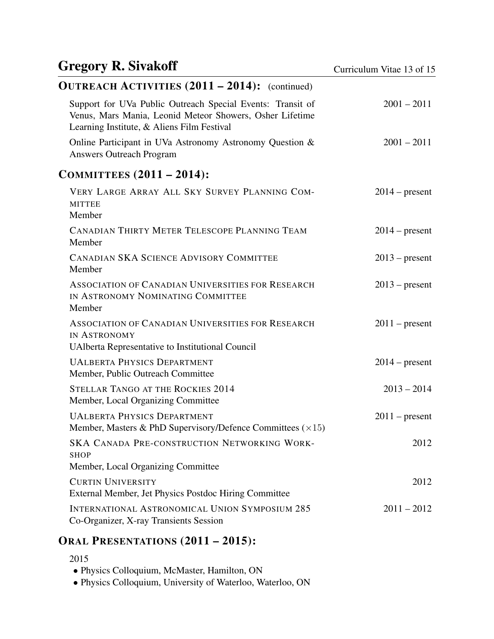#### OUTREACH ACTIVITIES (2011 – 2014): (continued) Support for UVa Public Outreach Special Events: Transit of Venus, Mars Mania, Leonid Meteor Showers, Osher Lifetime Learning Institute, & Aliens Film Festival 2001 – 2011 Online Participant in UVa Astronomy Astronomy Question & Answers Outreach Program 2001 – 2011 COMMITTEES (2011 – 2014): VERY LARGE ARRAY ALL SKY SURVEY PLANNING COM-MITTEE  $2014$  – present Member CANADIAN THIRTY METER TELESCOPE PLANNING TEAM 2014 – present Member CANADIAN SKA SCIENCE ADVISORY COMMITTEE 2013 – present Member ASSOCIATION OF CANADIAN UNIVERSITIES FOR RESEARCH IN ASTRONOMY NOMINATING COMMITTEE  $2013$  – present Member ASSOCIATION OF CANADIAN UNIVERSITIES FOR RESEARCH IN ASTRONOMY  $2011$  – present UAlberta Representative to Institutional Council UALBERTA PHYSICS DEPARTMENT 2014 – present Member, Public Outreach Committee STELLAR TANGO AT THE ROCKIES 2014 2013 - 2013 - 2014 Member, Local Organizing Committee UALBERTA PHYSICS DEPARTMENT 2011 – present Member, Masters & PhD Supervisory/Defence Committees  $(\times 15)$ SKA CANADA PRE-CONSTRUCTION NETWORKING WORK-SHOP 2012 Member, Local Organizing Committee CURTIN UNIVERSITY 2012 External Member, Jet Physics Postdoc Hiring Committee INTERNATIONAL ASTRONOMICAL UNION SYMPOSIUM 285 2011 – 2012

Co-Organizer, X-ray Transients Session

### ORAL PRESENTATIONS (2011 – 2015):

• Physics Colloquium, McMaster, Hamilton, ON

• Physics Colloquium, University of Waterloo, Waterloo, ON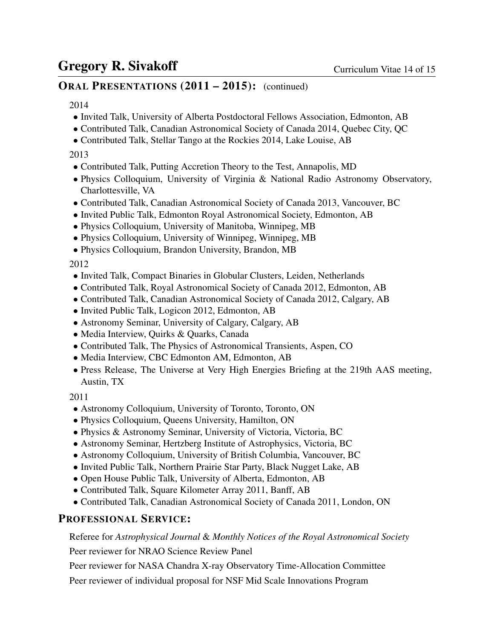#### ORAL PRESENTATIONS (2011 – 2015): (continued)

#### 2014

- Invited Talk, University of Alberta Postdoctoral Fellows Association, Edmonton, AB
- Contributed Talk, Canadian Astronomical Society of Canada 2014, Quebec City, QC
- Contributed Talk, Stellar Tango at the Rockies 2014, Lake Louise, AB

#### 2013

- Contributed Talk, Putting Accretion Theory to the Test, Annapolis, MD
- Physics Colloquium, University of Virginia & National Radio Astronomy Observatory, Charlottesville, VA
- Contributed Talk, Canadian Astronomical Society of Canada 2013, Vancouver, BC
- Invited Public Talk, Edmonton Royal Astronomical Society, Edmonton, AB
- Physics Colloquium, University of Manitoba, Winnipeg, MB
- Physics Colloquium, University of Winnipeg, Winnipeg, MB
- Physics Colloquium, Brandon University, Brandon, MB

2012

- Invited Talk, Compact Binaries in Globular Clusters, Leiden, Netherlands
- Contributed Talk, Royal Astronomical Society of Canada 2012, Edmonton, AB
- Contributed Talk, Canadian Astronomical Society of Canada 2012, Calgary, AB
- Invited Public Talk, Logicon 2012, Edmonton, AB
- Astronomy Seminar, University of Calgary, Calgary, AB
- Media Interview, Quirks & Quarks, Canada
- Contributed Talk, The Physics of Astronomical Transients, Aspen, CO
- Media Interview, CBC Edmonton AM, Edmonton, AB
- Press Release, The Universe at Very High Energies Briefing at the 219th AAS meeting, Austin, TX

2011

- Astronomy Colloquium, University of Toronto, Toronto, ON
- Physics Colloquium, Queens University, Hamilton, ON
- Physics & Astronomy Seminar, University of Victoria, Victoria, BC
- Astronomy Seminar, Hertzberg Institute of Astrophysics, Victoria, BC
- Astronomy Colloquium, University of British Columbia, Vancouver, BC
- Invited Public Talk, Northern Prairie Star Party, Black Nugget Lake, AB
- Open House Public Talk, University of Alberta, Edmonton, AB
- Contributed Talk, Square Kilometer Array 2011, Banff, AB
- Contributed Talk, Canadian Astronomical Society of Canada 2011, London, ON

#### PROFESSIONAL SERVICE:

Referee for *Astrophysical Journal* & *Monthly Notices of the Royal Astronomical Society*

Peer reviewer for NRAO Science Review Panel

Peer reviewer for NASA Chandra X-ray Observatory Time-Allocation Committee

Peer reviewer of individual proposal for NSF Mid Scale Innovations Program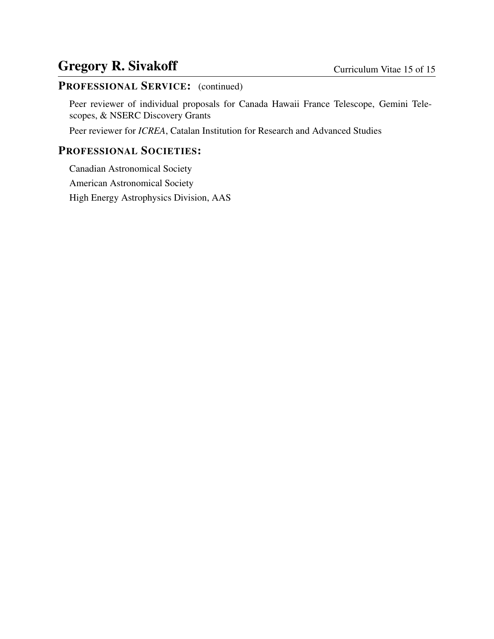### PROFESSIONAL SERVICE: (continued)

Peer reviewer of individual proposals for Canada Hawaii France Telescope, Gemini Telescopes, & NSERC Discovery Grants

Peer reviewer for *ICREA*, Catalan Institution for Research and Advanced Studies

#### PROFESSIONAL SOCIETIES:

Canadian Astronomical Society American Astronomical Society High Energy Astrophysics Division, AAS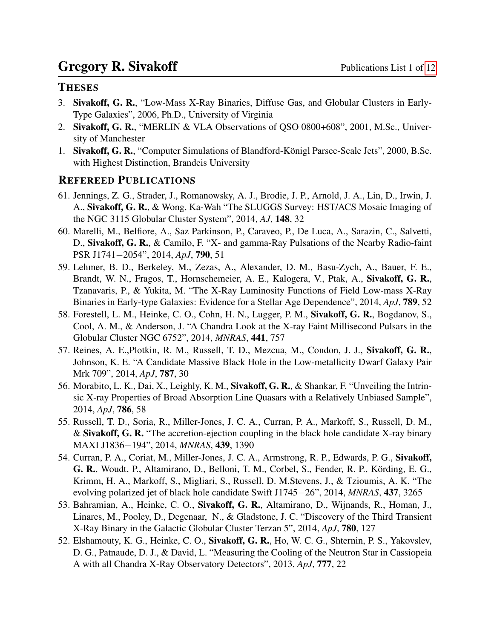#### **THESES**

- 3. Sivakoff, G. R., "Low-Mass X-Ray Binaries, Diffuse Gas, and Globular Clusters in Early-Type Galaxies", 2006, Ph.D., University of Virginia
- 2. Sivakoff, G. R., "MERLIN & VLA Observations of QSO 0800+608", 2001, M.Sc., University of Manchester
- 1. Sivakoff, G. R., "Computer Simulations of Blandford-Königl Parsec-Scale Jets", 2000, B.Sc. with Highest Distinction, Brandeis University

#### REFEREED PUBLICATIONS

- 61. Jennings, Z. G., Strader, J., Romanowsky, A. J., Brodie, J. P., Arnold, J. A., Lin, D., Irwin, J. A., Sivakoff, G. R., & Wong, Ka-Wah "The SLUGGS Survey: HST/ACS Mosaic Imaging of the NGC 3115 Globular Cluster System", 2014, *AJ*, 148, 32
- 60. Marelli, M., Belfiore, A., Saz Parkinson, P., Caraveo, P., De Luca, A., Sarazin, C., Salvetti, D., Sivakoff, G. R., & Camilo, F. "X- and gamma-Ray Pulsations of the Nearby Radio-faint PSR J1741−2054", 2014, *ApJ*, 790, 51
- 59. Lehmer, B. D., Berkeley, M., Zezas, A., Alexander, D. M., Basu-Zych, A., Bauer, F. E., Brandt, W. N., Fragos, T., Hornschemeier, A. E., Kalogera, V., Ptak, A., Sivakoff, G. R., Tzanavaris, P., & Yukita, M. "The X-Ray Luminosity Functions of Field Low-mass X-Ray Binaries in Early-type Galaxies: Evidence for a Stellar Age Dependence", 2014, *ApJ*, 789, 52
- 58. Forestell, L. M., Heinke, C. O., Cohn, H. N., Lugger, P. M., Sivakoff, G. R., Bogdanov, S., Cool, A. M., & Anderson, J. "A Chandra Look at the X-ray Faint Millisecond Pulsars in the Globular Cluster NGC 6752", 2014, *MNRAS*, 441, 757
- 57. Reines, A. E.,Plotkin, R. M., Russell, T. D., Mezcua, M., Condon, J. J., Sivakoff, G. R., Johnson, K. E. "A Candidate Massive Black Hole in the Low-metallicity Dwarf Galaxy Pair Mrk 709", 2014, *ApJ*, 787, 30
- 56. Morabito, L. K., Dai, X., Leighly, K. M., Sivakoff, G. R., & Shankar, F. "Unveiling the Intrinsic X-ray Properties of Broad Absorption Line Quasars with a Relatively Unbiased Sample", 2014, *ApJ*, 786, 58
- 55. Russell, T. D., Soria, R., Miller-Jones, J. C. A., Curran, P. A., Markoff, S., Russell, D. M., & Sivakoff, G. R. "The accretion-ejection coupling in the black hole candidate X-ray binary MAXI J1836−194", 2014, *MNRAS*, 439, 1390
- 54. Curran, P. A., Coriat, M., Miller-Jones, J. C. A., Armstrong, R. P., Edwards, P. G., Sivakoff, G. R., Woudt, P., Altamirano, D., Belloni, T. M., Corbel, S., Fender, R. P., Körding, E. G., Krimm, H. A., Markoff, S., Migliari, S., Russell, D. M.Stevens, J., & Tzioumis, A. K. "The evolving polarized jet of black hole candidate Swift J1745−26", 2014, *MNRAS*, 437, 3265
- 53. Bahramian, A., Heinke, C. O., Sivakoff, G. R., Altamirano, D., Wijnands, R., Homan, J., Linares, M., Pooley, D., Degenaar, N., & Gladstone, J. C. "Discovery of the Third Transient X-Ray Binary in the Galactic Globular Cluster Terzan 5", 2014, *ApJ*, 780, 127
- 52. Elshamouty, K. G., Heinke, C. O., Sivakoff, G. R., Ho, W. C. G., Shternin, P. S., Yakovslev, D. G., Patnaude, D. J., & David, L. "Measuring the Cooling of the Neutron Star in Cassiopeia A with all Chandra X-Ray Observatory Detectors", 2013, *ApJ*, 777, 22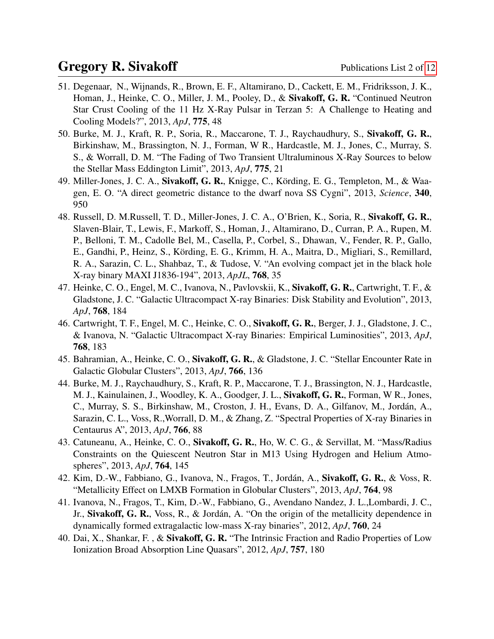- 51. Degenaar, N., Wijnands, R., Brown, E. F., Altamirano, D., Cackett, E. M., Fridriksson, J. K., Homan, J., Heinke, C. O., Miller, J. M., Pooley, D., & Sivakoff, G. R. "Continued Neutron Star Crust Cooling of the 11 Hz X-Ray Pulsar in Terzan 5: A Challenge to Heating and Cooling Models?", 2013, *ApJ*, 775, 48
- 50. Burke, M. J., Kraft, R. P., Soria, R., Maccarone, T. J., Raychaudhury, S., Sivakoff, G. R., Birkinshaw, M., Brassington, N. J., Forman, W R., Hardcastle, M. J., Jones, C., Murray, S. S., & Worrall, D. M. "The Fading of Two Transient Ultraluminous X-Ray Sources to below the Stellar Mass Eddington Limit", 2013, *ApJ*, 775, 21
- 49. Miller-Jones, J. C. A., Sivakoff, G. R., Knigge, C., Körding, E. G., Templeton, M., & Waagen, E. O. "A direct geometric distance to the dwarf nova SS Cygni", 2013, *Science*, 340, 950
- 48. Russell, D. M.Russell, T. D., Miller-Jones, J. C. A., O'Brien, K., Soria, R., Sivakoff, G. R., Slaven-Blair, T., Lewis, F., Markoff, S., Homan, J., Altamirano, D., Curran, P. A., Rupen, M. P., Belloni, T. M., Cadolle Bel, M., Casella, P., Corbel, S., Dhawan, V., Fender, R. P., Gallo, E., Gandhi, P., Heinz, S., Körding, E. G., Krimm, H. A., Maitra, D., Migliari, S., Remillard, R. A., Sarazin, C. L., Shahbaz, T., & Tudose, V. "An evolving compact jet in the black hole X-ray binary MAXI J1836-194", 2013, *ApJL*, 768, 35
- 47. Heinke, C. O., Engel, M. C., Ivanova, N., Pavlovskii, K., Sivakoff, G. R., Cartwright, T. F., & Gladstone, J. C. "Galactic Ultracompact X-ray Binaries: Disk Stability and Evolution", 2013, *ApJ*, 768, 184
- 46. Cartwright, T. F., Engel, M. C., Heinke, C. O., Sivakoff, G. R., Berger, J. J., Gladstone, J. C., & Ivanova, N. "Galactic Ultracompact X-ray Binaries: Empirical Luminosities", 2013, *ApJ*, 768, 183
- 45. Bahramian, A., Heinke, C. O., Sivakoff, G. R., & Gladstone, J. C. "Stellar Encounter Rate in Galactic Globular Clusters", 2013, *ApJ*, 766, 136
- 44. Burke, M. J., Raychaudhury, S., Kraft, R. P., Maccarone, T. J., Brassington, N. J., Hardcastle, M. J., Kainulainen, J., Woodley, K. A., Goodger, J. L., Sivakoff, G. R., Forman, W R., Jones, C., Murray, S. S., Birkinshaw, M., Croston, J. H., Evans, D. A., Gilfanov, M., Jordán, A., Sarazin, C. L., Voss, R.,Worrall, D. M., & Zhang, Z. "Spectral Properties of X-ray Binaries in Centaurus A", 2013, *ApJ*, 766, 88
- 43. Catuneanu, A., Heinke, C. O., Sivakoff, G. R., Ho, W. C. G., & Servillat, M. "Mass/Radius Constraints on the Quiescent Neutron Star in M13 Using Hydrogen and Helium Atmospheres", 2013, *ApJ*, 764, 145
- 42. Kim, D.-W., Fabbiano, G., Ivanova, N., Fragos, T., Jordán, A., Sivakoff, G. R., & Voss, R. "Metallicity Effect on LMXB Formation in Globular Clusters", 2013, *ApJ*, 764, 98
- 41. Ivanova, N., Fragos, T., Kim, D.-W., Fabbiano, G., Avendano Nandez, J. L.,Lombardi, J. C., Jr., Sivakoff, G. R., Voss, R., & Jordán, A. "On the origin of the metallicity dependence in dynamically formed extragalactic low-mass X-ray binaries", 2012, *ApJ*, 760, 24
- 40. Dai, X., Shankar, F. , & Sivakoff, G. R. "The Intrinsic Fraction and Radio Properties of Low Ionization Broad Absorption Line Quasars", 2012, *ApJ*, 757, 180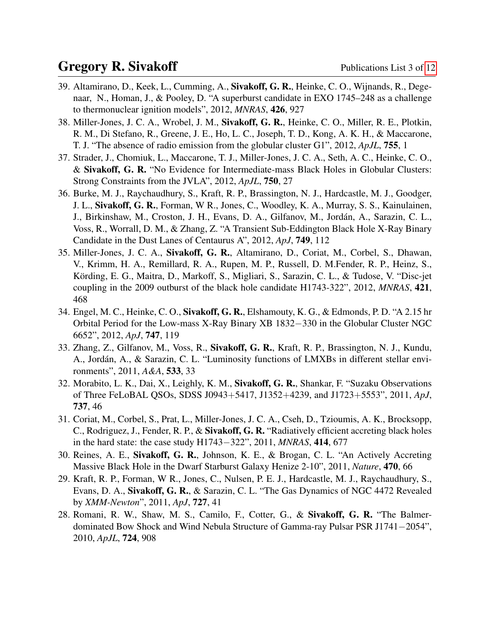- 39. Altamirano, D., Keek, L., Cumming, A., Sivakoff, G. R., Heinke, C. O., Wijnands, R., Degenaar, N., Homan, J., & Pooley, D. "A superburst candidate in EXO 1745–248 as a challenge to thermonuclear ignition models", 2012, *MNRAS*, 426, 927
- 38. Miller-Jones, J. C. A., Wrobel, J. M., Sivakoff, G. R., Heinke, C. O., Miller, R. E., Plotkin, R. M., Di Stefano, R., Greene, J. E., Ho, L. C., Joseph, T. D., Kong, A. K. H., & Maccarone, T. J. "The absence of radio emission from the globular cluster G1", 2012, *ApJL*, 755, 1
- 37. Strader, J., Chomiuk, L., Maccarone, T. J., Miller-Jones, J. C. A., Seth, A. C., Heinke, C. O., & Sivakoff, G. R. "No Evidence for Intermediate-mass Black Holes in Globular Clusters: Strong Constraints from the JVLA", 2012, *ApJL*, 750, 27
- 36. Burke, M. J., Raychaudhury, S., Kraft, R. P., Brassington, N. J., Hardcastle, M. J., Goodger, J. L., Sivakoff, G. R., Forman, W R., Jones, C., Woodley, K. A., Murray, S. S., Kainulainen, J., Birkinshaw, M., Croston, J. H., Evans, D. A., Gilfanov, M., Jordan, A., Sarazin, C. L., ´ Voss, R., Worrall, D. M., & Zhang, Z. "A Transient Sub-Eddington Black Hole X-Ray Binary Candidate in the Dust Lanes of Centaurus A", 2012, *ApJ*, 749, 112
- 35. Miller-Jones, J. C. A., Sivakoff, G. R., Altamirano, D., Coriat, M., Corbel, S., Dhawan, V., Krimm, H. A., Remillard, R. A., Rupen, M. P., Russell, D. M.Fender, R. P., Heinz, S., Körding, E. G., Maitra, D., Markoff, S., Migliari, S., Sarazin, C. L., & Tudose, V. "Disc-jet coupling in the 2009 outburst of the black hole candidate H1743-322", 2012, *MNRAS*, 421, 468
- 34. Engel, M. C., Heinke, C. O., Sivakoff, G. R., Elshamouty, K. G., & Edmonds, P. D. "A 2.15 hr Orbital Period for the Low-mass X-Ray Binary XB 1832−330 in the Globular Cluster NGC 6652", 2012, *ApJ*, 747, 119
- 33. Zhang, Z., Gilfanov, M., Voss, R., Sivakoff, G. R., Kraft, R. P., Brassington, N. J., Kundu, A., Jordán, A., & Sarazin, C. L. "Luminosity functions of LMXBs in different stellar environments", 2011, *A&A*, 533, 33
- 32. Morabito, L. K., Dai, X., Leighly, K. M., Sivakoff, G. R., Shankar, F. "Suzaku Observations of Three FeLoBAL QSOs, SDSS J0943+5417, J1352+4239, and J1723+5553", 2011, *ApJ*, 737, 46
- 31. Coriat, M., Corbel, S., Prat, L., Miller-Jones, J. C. A., Cseh, D., Tzioumis, A. K., Brocksopp, C., Rodriguez, J., Fender, R. P., & Sivakoff, G. R. "Radiatively efficient accreting black holes in the hard state: the case study H1743−322", 2011, *MNRAS*, 414, 677
- 30. Reines, A. E., Sivakoff, G. R., Johnson, K. E., & Brogan, C. L. "An Actively Accreting Massive Black Hole in the Dwarf Starburst Galaxy Henize 2-10", 2011, *Nature*, 470, 66
- 29. Kraft, R. P., Forman, W R., Jones, C., Nulsen, P. E. J., Hardcastle, M. J., Raychaudhury, S., Evans, D. A., Sivakoff, G. R., & Sarazin, C. L. "The Gas Dynamics of NGC 4472 Revealed by *XMM-Newton*", 2011, *ApJ*, 727, 41
- 28. Romani, R. W., Shaw, M. S., Camilo, F., Cotter, G., & Sivakoff, G. R. "The Balmerdominated Bow Shock and Wind Nebula Structure of Gamma-ray Pulsar PSR J1741−2054", 2010, *ApJL*, 724, 908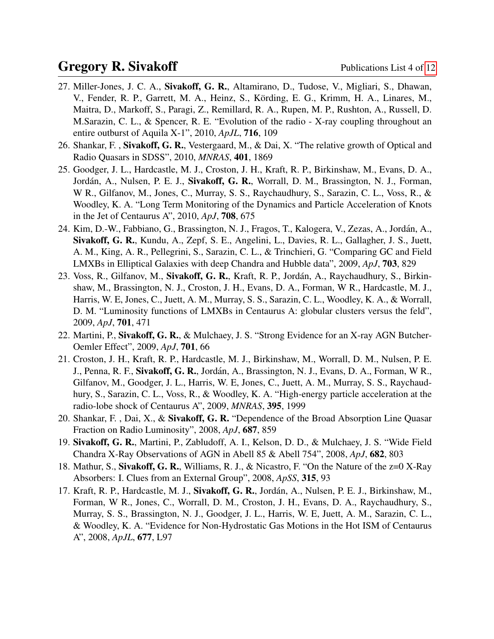- 27. Miller-Jones, J. C. A., Sivakoff, G. R., Altamirano, D., Tudose, V., Migliari, S., Dhawan, V., Fender, R. P., Garrett, M. A., Heinz, S., Körding, E. G., Krimm, H. A., Linares, M., Maitra, D., Markoff, S., Paragi, Z., Remillard, R. A., Rupen, M. P., Rushton, A., Russell, D. M.Sarazin, C. L., & Spencer, R. E. "Evolution of the radio - X-ray coupling throughout an entire outburst of Aquila X-1", 2010, *ApJL*, 716, 109
- 26. Shankar, F. , Sivakoff, G. R., Vestergaard, M., & Dai, X. "The relative growth of Optical and Radio Quasars in SDSS", 2010, *MNRAS*, 401, 1869
- 25. Goodger, J. L., Hardcastle, M. J., Croston, J. H., Kraft, R. P., Birkinshaw, M., Evans, D. A., Jordán, A., Nulsen, P. E. J., Sivakoff, G. R., Worrall, D. M., Brassington, N. J., Forman, W R., Gilfanov, M., Jones, C., Murray, S. S., Raychaudhury, S., Sarazin, C. L., Voss, R., & Woodley, K. A. "Long Term Monitoring of the Dynamics and Particle Acceleration of Knots in the Jet of Centaurus A", 2010, *ApJ*, 708, 675
- 24. Kim, D.-W., Fabbiano, G., Brassington, N. J., Fragos, T., Kalogera, V., Zezas, A., Jordan, A., ´ Sivakoff, G. R., Kundu, A., Zepf, S. E., Angelini, L., Davies, R. L., Gallagher, J. S., Juett, A. M., King, A. R., Pellegrini, S., Sarazin, C. L., & Trinchieri, G. "Comparing GC and Field LMXBs in Elliptical Galaxies with deep Chandra and Hubble data", 2009, *ApJ*, 703, 829
- 23. Voss, R., Gilfanov, M., Sivakoff, G. R., Kraft, R. P., Jordán, A., Raychaudhury, S., Birkinshaw, M., Brassington, N. J., Croston, J. H., Evans, D. A., Forman, W R., Hardcastle, M. J., Harris, W. E, Jones, C., Juett, A. M., Murray, S. S., Sarazin, C. L., Woodley, K. A., & Worrall, D. M. "Luminosity functions of LMXBs in Centaurus A: globular clusters versus the feld", 2009, *ApJ*, 701, 471
- 22. Martini, P., Sivakoff, G. R., & Mulchaey, J. S. "Strong Evidence for an X-ray AGN Butcher-Oemler Effect", 2009, *ApJ*, 701, 66
- 21. Croston, J. H., Kraft, R. P., Hardcastle, M. J., Birkinshaw, M., Worrall, D. M., Nulsen, P. E. J., Penna, R. F., Sivakoff, G. R., Jordán, A., Brassington, N. J., Evans, D. A., Forman, W R., Gilfanov, M., Goodger, J. L., Harris, W. E, Jones, C., Juett, A. M., Murray, S. S., Raychaudhury, S., Sarazin, C. L., Voss, R., & Woodley, K. A. "High-energy particle acceleration at the radio-lobe shock of Centaurus A", 2009, *MNRAS*, 395, 1999
- 20. Shankar, F., Dai, X., & Sivakoff, G.R. "Dependence of the Broad Absorption Line Quasar Fraction on Radio Luminosity", 2008, *ApJ*, 687, 859
- 19. Sivakoff, G. R., Martini, P., Zabludoff, A. I., Kelson, D. D., & Mulchaey, J. S. "Wide Field Chandra X-Ray Observations of AGN in Abell 85 & Abell 754", 2008, *ApJ*, 682, 803
- 18. Mathur, S., Sivakoff, G. R., Williams, R. J., & Nicastro, F. "On the Nature of the z=0 X-Ray Absorbers: I. Clues from an External Group", 2008, *ApSS*, 315, 93
- 17. Kraft, R. P., Hardcastle, M. J., Sivakoff, G. R., Jordan, A., Nulsen, P. E. J., Birkinshaw, M., ´ Forman, W R., Jones, C., Worrall, D. M., Croston, J. H., Evans, D. A., Raychaudhury, S., Murray, S. S., Brassington, N. J., Goodger, J. L., Harris, W. E, Juett, A. M., Sarazin, C. L., & Woodley, K. A. "Evidence for Non-Hydrostatic Gas Motions in the Hot ISM of Centaurus A", 2008, *ApJL*, 677, L97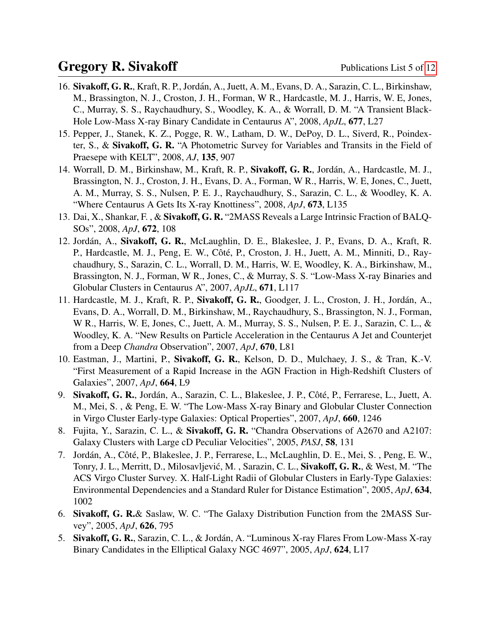- 16. Sivakoff, G. R., Kraft, R. P., Jordán, A., Juett, A. M., Evans, D. A., Sarazin, C. L., Birkinshaw, M., Brassington, N. J., Croston, J. H., Forman, W R., Hardcastle, M. J., Harris, W. E, Jones, C., Murray, S. S., Raychaudhury, S., Woodley, K. A., & Worrall, D. M. "A Transient Black-Hole Low-Mass X-ray Binary Candidate in Centaurus A", 2008, *ApJL*, 677, L27
- 15. Pepper, J., Stanek, K. Z., Pogge, R. W., Latham, D. W., DePoy, D. L., Siverd, R., Poindexter, S., & Sivakoff, G. R. "A Photometric Survey for Variables and Transits in the Field of Praesepe with KELT", 2008, *AJ*, 135, 907
- 14. Worrall, D. M., Birkinshaw, M., Kraft, R. P., Sivakoff, G. R., Jordán, A., Hardcastle, M. J., Brassington, N. J., Croston, J. H., Evans, D. A., Forman, W R., Harris, W. E, Jones, C., Juett, A. M., Murray, S. S., Nulsen, P. E. J., Raychaudhury, S., Sarazin, C. L., & Woodley, K. A. "Where Centaurus A Gets Its X-ray Knottiness", 2008, *ApJ*, 673, L135
- 13. Dai, X., Shankar, F. , & Sivakoff, G. R. "2MASS Reveals a Large Intrinsic Fraction of BALQ-SOs", 2008, *ApJ*, 672, 108
- 12. Jordán, A., Sivakoff, G. R., McLaughlin, D. E., Blakeslee, J. P., Evans, D. A., Kraft, R. P., Hardcastle, M. J., Peng, E. W., Côté, P., Croston, J. H., Juett, A. M., Minniti, D., Raychaudhury, S., Sarazin, C. L., Worrall, D. M., Harris, W. E, Woodley, K. A., Birkinshaw, M., Brassington, N. J., Forman, W R., Jones, C., & Murray, S. S. "Low-Mass X-ray Binaries and Globular Clusters in Centaurus A", 2007, *ApJL*, 671, L117
- 11. Hardcastle, M. J., Kraft, R. P., Sivakoff, G. R., Goodger, J. L., Croston, J. H., Jordan, A., ´ Evans, D. A., Worrall, D. M., Birkinshaw, M., Raychaudhury, S., Brassington, N. J., Forman, W R., Harris, W. E, Jones, C., Juett, A. M., Murray, S. S., Nulsen, P. E. J., Sarazin, C. L., & Woodley, K. A. "New Results on Particle Acceleration in the Centaurus A Jet and Counterjet from a Deep *Chandra* Observation", 2007, *ApJ*, 670, L81
- 10. Eastman, J., Martini, P., Sivakoff, G. R., Kelson, D. D., Mulchaey, J. S., & Tran, K.-V. "First Measurement of a Rapid Increase in the AGN Fraction in High-Redshift Clusters of Galaxies", 2007, *ApJ*, 664, L9
- 9. Sivakoff, G. R., Jordán, A., Sarazin, C. L., Blakeslee, J. P., Côté, P., Ferrarese, L., Juett, A. M., Mei, S. , & Peng, E. W. "The Low-Mass X-ray Binary and Globular Cluster Connection in Virgo Cluster Early-type Galaxies: Optical Properties", 2007, *ApJ*, 660, 1246
- 8. Fujita, Y., Sarazin, C. L., & Sivakoff, G. R. "Chandra Observations of A2670 and A2107: Galaxy Clusters with Large cD Peculiar Velocities", 2005, *PASJ*, 58, 131
- 7. Jordán, A., Côté, P., Blakeslee, J. P., Ferrarese, L., McLaughlin, D. E., Mei, S., Peng, E. W., Tonry, J. L., Merritt, D., Milosavljević, M., Sarazin, C. L., Sivakoff, G. R., & West, M. "The ACS Virgo Cluster Survey. X. Half-Light Radii of Globular Clusters in Early-Type Galaxies: Environmental Dependencies and a Standard Ruler for Distance Estimation", 2005, *ApJ*, 634, 1002
- 6. Sivakoff, G. R.& Saslaw, W. C. "The Galaxy Distribution Function from the 2MASS Survey", 2005, *ApJ*, 626, 795
- 5. Sivakoff, G. R., Sarazin, C. L., & Jordán, A. "Luminous X-ray Flares From Low-Mass X-ray Binary Candidates in the Elliptical Galaxy NGC 4697", 2005, *ApJ*, 624, L17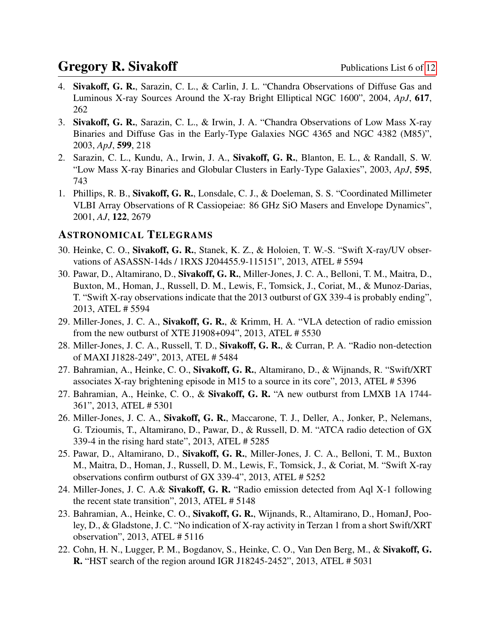- 4. Sivakoff, G. R., Sarazin, C. L., & Carlin, J. L. "Chandra Observations of Diffuse Gas and Luminous X-ray Sources Around the X-ray Bright Elliptical NGC 1600", 2004, *ApJ*, 617, 262
- 3. Sivakoff, G. R., Sarazin, C. L., & Irwin, J. A. "Chandra Observations of Low Mass X-ray Binaries and Diffuse Gas in the Early-Type Galaxies NGC 4365 and NGC 4382 (M85)", 2003, *ApJ*, 599, 218
- 2. Sarazin, C. L., Kundu, A., Irwin, J. A., Sivakoff, G. R., Blanton, E. L., & Randall, S. W. "Low Mass X-ray Binaries and Globular Clusters in Early-Type Galaxies", 2003, *ApJ*, 595, 743
- 1. Phillips, R. B., Sivakoff, G. R., Lonsdale, C. J., & Doeleman, S. S. "Coordinated Millimeter VLBI Array Observations of R Cassiopeiae: 86 GHz SiO Masers and Envelope Dynamics", 2001, *AJ*, 122, 2679

#### ASTRONOMICAL TELEGRAMS

- 30. Heinke, C. O., Sivakoff, G. R., Stanek, K. Z., & Holoien, T. W.-S. "Swift X-ray/UV observations of ASASSN-14ds / 1RXS J204455.9-115151", 2013, ATEL # 5594
- 30. Pawar, D., Altamirano, D., Sivakoff, G. R., Miller-Jones, J. C. A., Belloni, T. M., Maitra, D., Buxton, M., Homan, J., Russell, D. M., Lewis, F., Tomsick, J., Coriat, M., & Munoz-Darias, T. "Swift X-ray observations indicate that the 2013 outburst of GX 339-4 is probably ending", 2013, ATEL # 5594
- 29. Miller-Jones, J. C. A., Sivakoff, G. R., & Krimm, H. A. "VLA detection of radio emission from the new outburst of XTE J1908+094", 2013, ATEL # 5530
- 28. Miller-Jones, J. C. A., Russell, T. D., Sivakoff, G. R., & Curran, P. A. "Radio non-detection of MAXI J1828-249", 2013, ATEL # 5484
- 27. Bahramian, A., Heinke, C. O., Sivakoff, G. R., Altamirano, D., & Wijnands, R. "Swift/XRT associates X-ray brightening episode in M15 to a source in its core", 2013, ATEL # 5396
- 27. Bahramian, A., Heinke, C. O., & Sivakoff, G. R. "A new outburst from LMXB 1A 1744-361", 2013, ATEL # 5301
- 26. Miller-Jones, J. C. A., Sivakoff, G. R., Maccarone, T. J., Deller, A., Jonker, P., Nelemans, G. Tzioumis, T., Altamirano, D., Pawar, D., & Russell, D. M. "ATCA radio detection of GX 339-4 in the rising hard state", 2013, ATEL # 5285
- 25. Pawar, D., Altamirano, D., Sivakoff, G. R., Miller-Jones, J. C. A., Belloni, T. M., Buxton M., Maitra, D., Homan, J., Russell, D. M., Lewis, F., Tomsick, J., & Coriat, M. "Swift X-ray observations confirm outburst of GX 339-4", 2013, ATEL # 5252
- 24. Miller-Jones, J. C. A.& Sivakoff, G. R. "Radio emission detected from Aql X-1 following the recent state transition", 2013, ATEL # 5148
- 23. Bahramian, A., Heinke, C. O., Sivakoff, G. R., Wijnands, R., Altamirano, D., HomanJ, Pooley, D., & Gladstone, J. C. "No indication of X-ray activity in Terzan 1 from a short Swift/XRT observation", 2013, ATEL # 5116
- 22. Cohn, H. N., Lugger, P. M., Bogdanov, S., Heinke, C. O., Van Den Berg, M., & Sivakoff, G. R. "HST search of the region around IGR J18245-2452", 2013, ATEL # 5031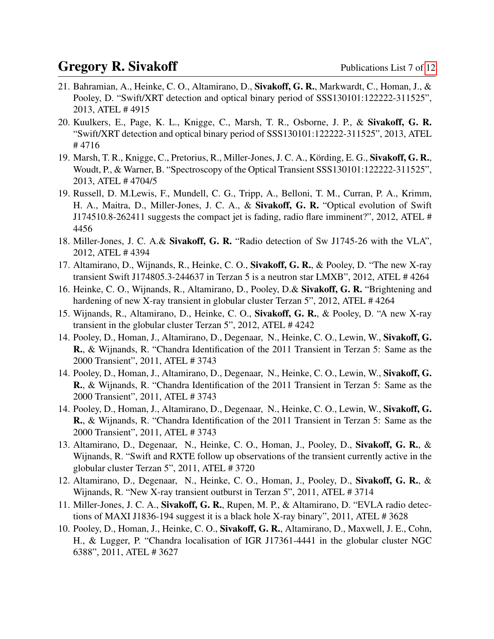- 21. Bahramian, A., Heinke, C. O., Altamirano, D., Sivakoff, G. R., Markwardt, C., Homan, J., & Pooley, D. "Swift/XRT detection and optical binary period of SSS130101:122222-311525", 2013, ATEL # 4915
- 20. Kuulkers, E., Page, K. L., Knigge, C., Marsh, T. R., Osborne, J. P., & Sivakoff, G. R. "Swift/XRT detection and optical binary period of SSS130101:122222-311525", 2013, ATEL # 4716
- 19. Marsh, T. R., Knigge, C., Pretorius, R., Miller-Jones, J. C. A., Körding, E. G., Sivakoff, G. R., Woudt, P., & Warner, B. "Spectroscopy of the Optical Transient SSS130101:122222-311525", 2013, ATEL # 4704/5
- 19. Russell, D. M.Lewis, F., Mundell, C. G., Tripp, A., Belloni, T. M., Curran, P. A., Krimm, H. A., Maitra, D., Miller-Jones, J. C. A., & Sivakoff, G. R. "Optical evolution of Swift J174510.8-262411 suggests the compact jet is fading, radio flare imminent?", 2012, ATEL # 4456
- 18. Miller-Jones, J. C. A.& Sivakoff, G. R. "Radio detection of Sw J1745-26 with the VLA", 2012, ATEL # 4394
- 17. Altamirano, D., Wijnands, R., Heinke, C. O., Sivakoff, G. R., & Pooley, D. "The new X-ray transient Swift J174805.3-244637 in Terzan 5 is a neutron star LMXB", 2012, ATEL # 4264
- 16. Heinke, C. O., Wijnands, R., Altamirano, D., Pooley, D.& Sivakoff, G. R. "Brightening and hardening of new X-ray transient in globular cluster Terzan 5", 2012, ATEL #4264
- 15. Wijnands, R., Altamirano, D., Heinke, C. O., Sivakoff, G. R., & Pooley, D. "A new X-ray transient in the globular cluster Terzan 5", 2012, ATEL # 4242
- 14. Pooley, D., Homan, J., Altamirano, D., Degenaar, N., Heinke, C. O., Lewin, W., Sivakoff, G. R., & Wijnands, R. "Chandra Identification of the 2011 Transient in Terzan 5: Same as the 2000 Transient", 2011, ATEL # 3743
- 14. Pooley, D., Homan, J., Altamirano, D., Degenaar, N., Heinke, C. O., Lewin, W., Sivakoff, G. R., & Wijnands, R. "Chandra Identification of the 2011 Transient in Terzan 5: Same as the 2000 Transient", 2011, ATEL # 3743
- 14. Pooley, D., Homan, J., Altamirano, D., Degenaar, N., Heinke, C. O., Lewin, W., Sivakoff, G. R., & Wijnands, R. "Chandra Identification of the 2011 Transient in Terzan 5: Same as the 2000 Transient", 2011, ATEL # 3743
- 13. Altamirano, D., Degenaar, N., Heinke, C. O., Homan, J., Pooley, D., Sivakoff, G. R., & Wijnands, R. "Swift and RXTE follow up observations of the transient currently active in the globular cluster Terzan 5", 2011, ATEL # 3720
- 12. Altamirano, D., Degenaar, N., Heinke, C. O., Homan, J., Pooley, D., Sivakoff, G. R., & Wijnands, R. "New X-ray transient outburst in Terzan 5", 2011, ATEL # 3714
- 11. Miller-Jones, J. C. A., Sivakoff, G. R., Rupen, M. P., & Altamirano, D. "EVLA radio detections of MAXI J1836-194 suggest it is a black hole X-ray binary", 2011, ATEL # 3628
- 10. Pooley, D., Homan, J., Heinke, C. O., Sivakoff, G. R., Altamirano, D., Maxwell, J. E., Cohn, H., & Lugger, P. "Chandra localisation of IGR J17361-4441 in the globular cluster NGC 6388", 2011, ATEL # 3627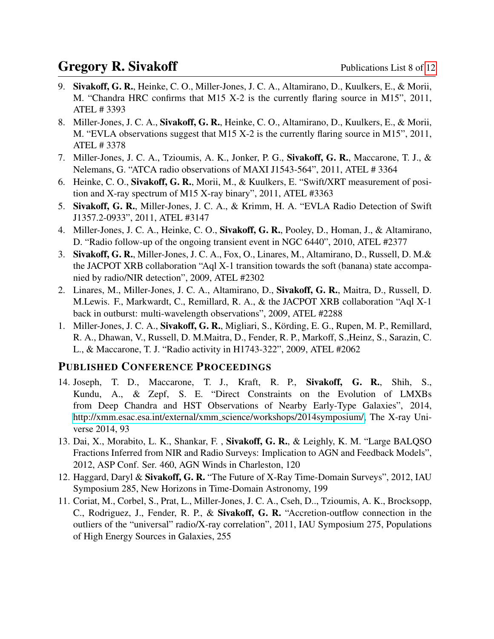- 9. Sivakoff, G. R., Heinke, C. O., Miller-Jones, J. C. A., Altamirano, D., Kuulkers, E., & Morii, M. "Chandra HRC confirms that M15 X-2 is the currently flaring source in M15", 2011, ATEL # 3393
- 8. Miller-Jones, J. C. A., Sivakoff, G. R., Heinke, C. O., Altamirano, D., Kuulkers, E., & Morii, M. "EVLA observations suggest that M15 X-2 is the currently flaring source in M15", 2011, ATEL # 3378
- 7. Miller-Jones, J. C. A., Tzioumis, A. K., Jonker, P. G., Sivakoff, G. R., Maccarone, T. J., & Nelemans, G. "ATCA radio observations of MAXI J1543-564", 2011, ATEL # 3364
- 6. Heinke, C. O., Sivakoff, G. R., Morii, M., & Kuulkers, E. "Swift/XRT measurement of position and X-ray spectrum of M15 X-ray binary", 2011, ATEL #3363
- 5. Sivakoff, G. R., Miller-Jones, J. C. A., & Krimm, H. A. "EVLA Radio Detection of Swift J1357.2-0933", 2011, ATEL #3147
- 4. Miller-Jones, J. C. A., Heinke, C. O., Sivakoff, G. R., Pooley, D., Homan, J., & Altamirano, D. "Radio follow-up of the ongoing transient event in NGC 6440", 2010, ATEL #2377
- 3. Sivakoff, G. R., Miller-Jones, J. C. A., Fox, O., Linares, M., Altamirano, D., Russell, D. M.& the JACPOT XRB collaboration "Aql X-1 transition towards the soft (banana) state accompanied by radio/NIR detection", 2009, ATEL #2302
- 2. Linares, M., Miller-Jones, J. C. A., Altamirano, D., Sivakoff, G. R., Maitra, D., Russell, D. M.Lewis. F., Markwardt, C., Remillard, R. A., & the JACPOT XRB collaboration "Aql X-1 back in outburst: multi-wavelength observations", 2009, ATEL #2288
- 1. Miller-Jones, J. C. A., Sivakoff, G. R., Migliari, S., Körding, E. G., Rupen, M. P., Remillard, R. A., Dhawan, V., Russell, D. M.Maitra, D., Fender, R. P., Markoff, S.,Heinz, S., Sarazin, C. L., & Maccarone, T. J. "Radio activity in H1743-322", 2009, ATEL #2062

#### PUBLISHED CONFERENCE PROCEEDINGS

- 14. Joseph, T. D., Maccarone, T. J., Kraft, R. P., Sivakoff, G. R., Shih, S., Kundu, A., & Zepf, S. E. "Direct Constraints on the Evolution of LMXBs from Deep Chandra and HST Observations of Nearby Early-Type Galaxies", 2014, [http://xmm.esac.esa.int/external/xmm](http://xmm.esac.esa.int/external/xmm_science/workshops/2014symposium/) science/workshops/2014symposium/, The X-ray Universe 2014, 93
- 13. Dai, X., Morabito, L. K., Shankar, F. , Sivakoff, G. R., & Leighly, K. M. "Large BALQSO Fractions Inferred from NIR and Radio Surveys: Implication to AGN and Feedback Models", 2012, ASP Conf. Ser. 460, AGN Winds in Charleston, 120
- 12. Haggard, Daryl & Sivakoff, G. R. "The Future of X-Ray Time-Domain Surveys", 2012, IAU Symposium 285, New Horizons in Time-Domain Astronomy, 199
- 11. Coriat, M., Corbel, S., Prat, L., Miller-Jones, J. C. A., Cseh, D.., Tzioumis, A. K., Brocksopp, C., Rodriguez, J., Fender, R. P., & Sivakoff, G. R. "Accretion-outflow connection in the outliers of the "universal" radio/X-ray correlation", 2011, IAU Symposium 275, Populations of High Energy Sources in Galaxies, 255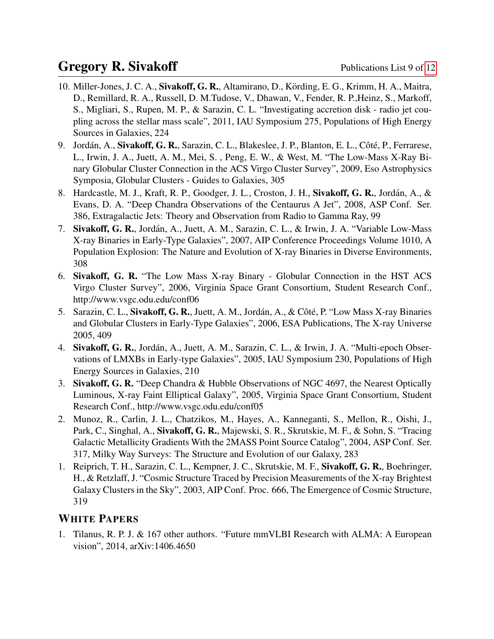- 10. Miller-Jones, J. C. A., Sivakoff, G. R., Altamirano, D., Körding, E. G., Krimm, H. A., Maitra, D., Remillard, R. A., Russell, D. M.Tudose, V., Dhawan, V., Fender, R. P.,Heinz, S., Markoff, S., Migliari, S., Rupen, M. P., & Sarazin, C. L. "Investigating accretion disk - radio jet coupling across the stellar mass scale", 2011, IAU Symposium 275, Populations of High Energy Sources in Galaxies, 224
- 9. Jordán, A., Sivakoff, G. R., Sarazin, C. L., Blakeslee, J. P., Blanton, E. L., Côté, P., Ferrarese, L., Irwin, J. A., Juett, A. M., Mei, S. , Peng, E. W., & West, M. "The Low-Mass X-Ray Binary Globular Cluster Connection in the ACS Virgo Cluster Survey", 2009, Eso Astrophysics Symposia, Globular Clusters - Guides to Galaxies, 305
- 8. Hardcastle, M. J., Kraft, R. P., Goodger, J. L., Croston, J. H., Sivakoff, G. R., Jordan, A., & ´ Evans, D. A. "Deep Chandra Observations of the Centaurus A Jet", 2008, ASP Conf. Ser. 386, Extragalactic Jets: Theory and Observation from Radio to Gamma Ray, 99
- 7. Sivakoff, G. R., Jordán, A., Juett, A. M., Sarazin, C. L., & Irwin, J. A. "Variable Low-Mass X-ray Binaries in Early-Type Galaxies", 2007, AIP Conference Proceedings Volume 1010, A Population Explosion: The Nature and Evolution of X-ray Binaries in Diverse Environments, 308
- 6. Sivakoff, G. R. "The Low Mass X-ray Binary Globular Connection in the HST ACS Virgo Cluster Survey", 2006, Virginia Space Grant Consortium, Student Research Conf., http://www.vsgc.odu.edu/conf06
- 5. Sarazin, C. L., Sivakoff, G. R., Juett, A. M., Jordán, A., & Côté, P. "Low Mass X-ray Binaries" and Globular Clusters in Early-Type Galaxies", 2006, ESA Publications, The X-ray Universe 2005, 409
- 4. Sivakoff, G. R., Jordán, A., Juett, A. M., Sarazin, C. L., & Irwin, J. A. "Multi-epoch Observations of LMXBs in Early-type Galaxies", 2005, IAU Symposium 230, Populations of High Energy Sources in Galaxies, 210
- 3. Sivakoff, G. R. "Deep Chandra & Hubble Observations of NGC 4697, the Nearest Optically Luminous, X-ray Faint Elliptical Galaxy", 2005, Virginia Space Grant Consortium, Student Research Conf., http://www.vsgc.odu.edu/conf05
- 2. Munoz, R., Carlin, J. L., Chatzikos, M., Hayes, A., Kanneganti, S., Mellon, R., Oishi, J., Park, C., Singhal, A., Sivakoff, G. R., Majewski, S. R., Skrutskie, M. F., & Sohn, S. "Tracing Galactic Metallicity Gradients With the 2MASS Point Source Catalog", 2004, ASP Conf. Ser. 317, Milky Way Surveys: The Structure and Evolution of our Galaxy, 283
- 1. Reiprich, T. H., Sarazin, C. L., Kempner, J. C., Skrutskie, M. F., Sivakoff, G. R., Boehringer, H., & Retzlaff, J. "Cosmic Structure Traced by Precision Measurements of the X-ray Brightest Galaxy Clusters in the Sky", 2003, AIP Conf. Proc. 666, The Emergence of Cosmic Structure, 319

#### WHITE PAPERS

1. Tilanus, R. P. J. & 167 other authors. "Future mmVLBI Research with ALMA: A European vision", 2014, arXiv:1406.4650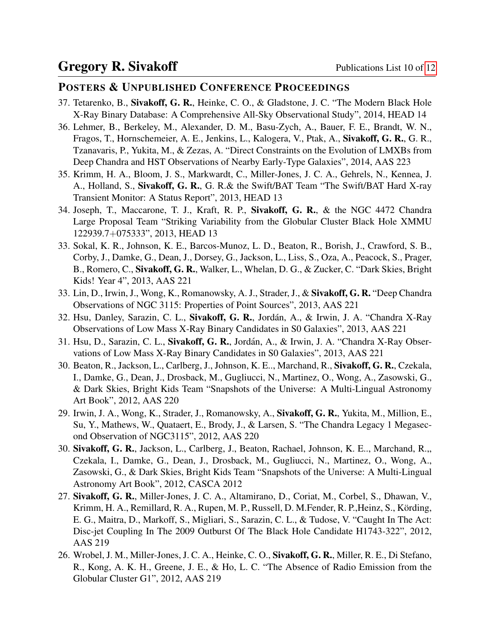#### POSTERS & UNPUBLISHED CONFERENCE PROCEEDINGS

- 37. Tetarenko, B., Sivakoff, G. R., Heinke, C. O., & Gladstone, J. C. "The Modern Black Hole X-Ray Binary Database: A Comprehensive All-Sky Observational Study", 2014, HEAD 14
- 36. Lehmer, B., Berkeley, M., Alexander, D. M., Basu-Zych, A., Bauer, F. E., Brandt, W. N., Fragos, T., Hornschemeier, A. E., Jenkins, L., Kalogera, V., Ptak, A., Sivakoff, G. R., G. R., Tzanavaris, P., Yukita, M., & Zezas, A. "Direct Constraints on the Evolution of LMXBs from Deep Chandra and HST Observations of Nearby Early-Type Galaxies", 2014, AAS 223
- 35. Krimm, H. A., Bloom, J. S., Markwardt, C., Miller-Jones, J. C. A., Gehrels, N., Kennea, J. A., Holland, S., Sivakoff, G. R., G. R.& the Swift/BAT Team "The Swift/BAT Hard X-ray Transient Monitor: A Status Report", 2013, HEAD 13
- 34. Joseph, T., Maccarone, T. J., Kraft, R. P., Sivakoff, G. R., & the NGC 4472 Chandra Large Proposal Team "Striking Variability from the Globular Cluster Black Hole XMMU 122939.7+075333", 2013, HEAD 13
- 33. Sokal, K. R., Johnson, K. E., Barcos-Munoz, L. D., Beaton, R., Borish, J., Crawford, S. B., Corby, J., Damke, G., Dean, J., Dorsey, G., Jackson, L., Liss, S., Oza, A., Peacock, S., Prager, B., Romero, C., Sivakoff, G. R., Walker, L., Whelan, D. G., & Zucker, C. "Dark Skies, Bright Kids! Year 4", 2013, AAS 221
- 33. Lin, D., Irwin, J., Wong, K., Romanowsky, A. J., Strader, J., & Sivakoff, G. R. "Deep Chandra Observations of NGC 3115: Properties of Point Sources", 2013, AAS 221
- 32. Hsu, Danley, Sarazin, C. L., Sivakoff, G. R., Jordán, A., & Irwin, J. A. "Chandra X-Ray Observations of Low Mass X-Ray Binary Candidates in S0 Galaxies", 2013, AAS 221
- 31. Hsu, D., Sarazin, C. L., Sivakoff, G. R., Jordan, A., & Irwin, J. A. "Chandra X-Ray Obser- ´ vations of Low Mass X-Ray Binary Candidates in S0 Galaxies", 2013, AAS 221
- 30. Beaton, R., Jackson, L., Carlberg, J., Johnson, K. E.., Marchand, R., Sivakoff, G. R., Czekala, I., Damke, G., Dean, J., Drosback, M., Gugliucci, N., Martinez, O., Wong, A., Zasowski, G., & Dark Skies, Bright Kids Team "Snapshots of the Universe: A Multi-Lingual Astronomy Art Book", 2012, AAS 220
- 29. Irwin, J. A., Wong, K., Strader, J., Romanowsky, A., Sivakoff, G. R., Yukita, M., Million, E., Su, Y., Mathews, W., Quataert, E., Brody, J., & Larsen, S. "The Chandra Legacy 1 Megasecond Observation of NGC3115", 2012, AAS 220
- 30. Sivakoff, G. R., Jackson, L., Carlberg, J., Beaton, Rachael, Johnson, K. E.., Marchand, R.,, Czekala, I., Damke, G., Dean, J., Drosback, M., Gugliucci, N., Martinez, O., Wong, A., Zasowski, G., & Dark Skies, Bright Kids Team "Snapshots of the Universe: A Multi-Lingual Astronomy Art Book", 2012, CASCA 2012
- 27. Sivakoff, G. R., Miller-Jones, J. C. A., Altamirano, D., Coriat, M., Corbel, S., Dhawan, V., Krimm, H. A., Remillard, R. A., Rupen, M. P., Russell, D. M. Fender, R. P., Heinz, S., Körding, E. G., Maitra, D., Markoff, S., Migliari, S., Sarazin, C. L., & Tudose, V. "Caught In The Act: Disc-jet Coupling In The 2009 Outburst Of The Black Hole Candidate H1743-322", 2012, AAS 219
- 26. Wrobel, J. M., Miller-Jones, J. C. A., Heinke, C. O., Sivakoff, G. R., Miller, R. E., Di Stefano, R., Kong, A. K. H., Greene, J. E., & Ho, L. C. "The Absence of Radio Emission from the Globular Cluster G1", 2012, AAS 219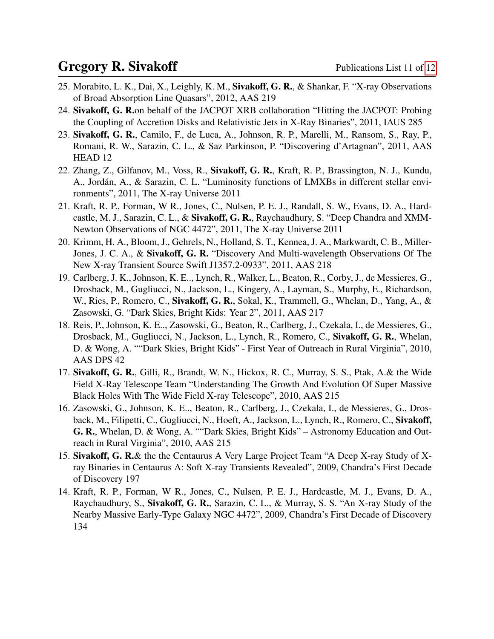- 25. Morabito, L. K., Dai, X., Leighly, K. M., Sivakoff, G. R., & Shankar, F. "X-ray Observations of Broad Absorption Line Quasars", 2012, AAS 219
- 24. Sivakoff, G. R.on behalf of the JACPOT XRB collaboration "Hitting the JACPOT: Probing the Coupling of Accretion Disks and Relativistic Jets in X-Ray Binaries", 2011, IAUS 285
- 23. Sivakoff, G. R., Camilo, F., de Luca, A., Johnson, R. P., Marelli, M., Ransom, S., Ray, P., Romani, R. W., Sarazin, C. L., & Saz Parkinson, P. "Discovering d'Artagnan", 2011, AAS HEAD 12
- 22. Zhang, Z., Gilfanov, M., Voss, R., Sivakoff, G. R., Kraft, R. P., Brassington, N. J., Kundu, A., Jordán, A., & Sarazin, C. L. "Luminosity functions of LMXBs in different stellar environments", 2011, The X-ray Universe 2011
- 21. Kraft, R. P., Forman, W R., Jones, C., Nulsen, P. E. J., Randall, S. W., Evans, D. A., Hardcastle, M. J., Sarazin, C. L., & Sivakoff, G. R., Raychaudhury, S. "Deep Chandra and XMM-Newton Observations of NGC 4472", 2011, The X-ray Universe 2011
- 20. Krimm, H. A., Bloom, J., Gehrels, N., Holland, S. T., Kennea, J. A., Markwardt, C. B., Miller-Jones, J. C. A., & Sivakoff, G. R. "Discovery And Multi-wavelength Observations Of The New X-ray Transient Source Swift J1357.2-0933", 2011, AAS 218
- 19. Carlberg, J. K., Johnson, K. E.., Lynch, R., Walker, L., Beaton, R., Corby, J., de Messieres, G., Drosback, M., Gugliucci, N., Jackson, L., Kingery, A., Layman, S., Murphy, E., Richardson, W., Ries, P., Romero, C., Sivakoff, G. R., Sokal, K., Trammell, G., Whelan, D., Yang, A., & Zasowski, G. "Dark Skies, Bright Kids: Year 2", 2011, AAS 217
- 18. Reis, P., Johnson, K. E.., Zasowski, G., Beaton, R., Carlberg, J., Czekala, I., de Messieres, G., Drosback, M., Gugliucci, N., Jackson, L., Lynch, R., Romero, C., Sivakoff, G. R., Whelan, D. & Wong, A. ""Dark Skies, Bright Kids" - First Year of Outreach in Rural Virginia", 2010, AAS DPS 42
- 17. Sivakoff, G. R., Gilli, R., Brandt, W. N., Hickox, R. C., Murray, S. S., Ptak, A.& the Wide Field X-Ray Telescope Team "Understanding The Growth And Evolution Of Super Massive Black Holes With The Wide Field X-ray Telescope", 2010, AAS 215
- 16. Zasowski, G., Johnson, K. E.., Beaton, R., Carlberg, J., Czekala, I., de Messieres, G., Drosback, M., Filipetti, C., Gugliucci, N., Hoeft, A., Jackson, L., Lynch, R., Romero, C., Sivakoff, G. R., Whelan, D. & Wong, A. ""Dark Skies, Bright Kids" – Astronomy Education and Outreach in Rural Virginia", 2010, AAS 215
- 15. Sivakoff, G. R.& the the Centaurus A Very Large Project Team "A Deep X-ray Study of Xray Binaries in Centaurus A: Soft X-ray Transients Revealed", 2009, Chandra's First Decade of Discovery 197
- 14. Kraft, R. P., Forman, W R., Jones, C., Nulsen, P. E. J., Hardcastle, M. J., Evans, D. A., Raychaudhury, S., Sivakoff, G. R., Sarazin, C. L., & Murray, S. S. "An X-ray Study of the Nearby Massive Early-Type Galaxy NGC 4472", 2009, Chandra's First Decade of Discovery 134